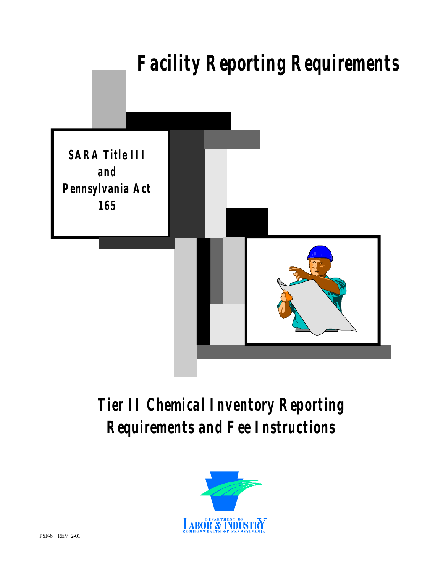

# *Tier II Chemical Inventory Reporting Requirements and Fee Instructions*

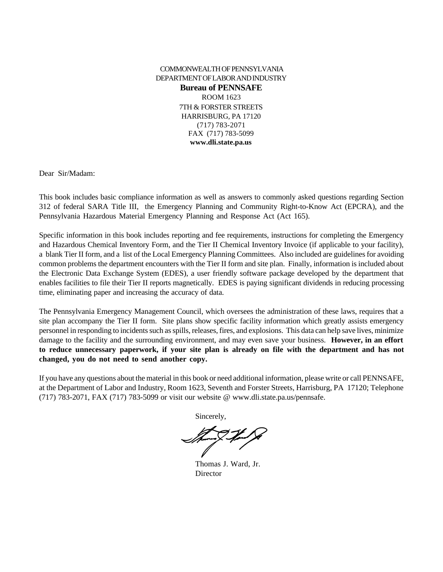#### COMMONWEALTH OF PENNSYLVANIA DEPARTMENT OF LABOR AND INDUSTRY **Bureau of PENNSAFE** ROOM 1623 7TH & FORSTER STREETS HARRISBURG, PA 17120 (717) 783-2071 FAX (717) 783-5099 **www.dli.state.pa.us**

Dear Sir/Madam:

This book includes basic compliance information as well as answers to commonly asked questions regarding Section 312 of federal SARA Title III, the Emergency Planning and Community Right-to-Know Act (EPCRA), and the Pennsylvania Hazardous Material Emergency Planning and Response Act (Act 165).

Specific information in this book includes reporting and fee requirements, instructions for completing the Emergency and Hazardous Chemical Inventory Form, and the Tier II Chemical Inventory Invoice (if applicable to your facility), a blank Tier II form, and a list of the Local Emergency Planning Committees. Also included are guidelines for avoiding common problems the department encounters with the Tier II form and site plan. Finally, information is included about the Electronic Data Exchange System (EDES), a user friendly software package developed by the department that enables facilities to file their Tier II reports magnetically. EDES is paying significant dividends in reducing processing time, eliminating paper and increasing the accuracy of data.

The Pennsylvania Emergency Management Council, which oversees the administration of these laws, requires that a site plan accompany the Tier II form. Site plans show specific facility information which greatly assists emergency personnel in responding to incidents such as spills, releases, fires, and explosions. This data can help save lives, minimize damage to the facility and the surrounding environment, and may even save your business. **However, in an effort to reduce unnecessary paperwork, if your site plan is already on file with the department and has not changed, you do not need to send another copy.**

If you have any questions about the material in this book or need additional information, please write or call PENNSAFE, at the Department of Labor and Industry, Room 1623, Seventh and Forster Streets, Harrisburg, PA 17120; Telephone (717) 783-2071, FAX (717) 783-5099 or visit our website @ www.dli.state.pa.us/pennsafe.

Sincerely,

Thomas J. Ward, Jr. Director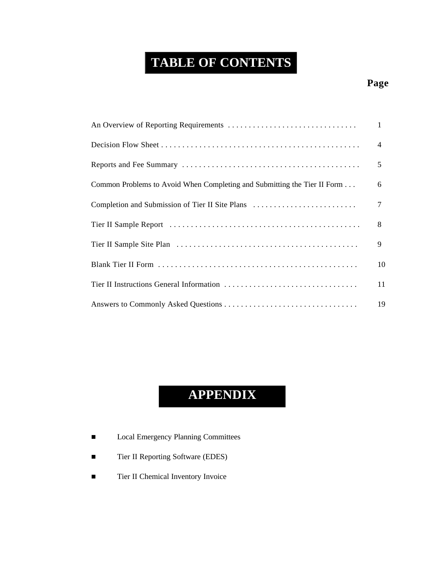# **TABLE OF CONTENTS**

# **Page**

|                                                                          | $\mathbf{1}$   |
|--------------------------------------------------------------------------|----------------|
|                                                                          | $\overline{4}$ |
|                                                                          | 5              |
| Common Problems to Avoid When Completing and Submitting the Tier II Form | 6              |
| Completion and Submission of Tier II Site Plans                          | 7              |
|                                                                          | 8              |
|                                                                          | 9              |
|                                                                          | 10             |
|                                                                          | 11             |
|                                                                          | 19             |

# **APPENDIX**

- Local Emergency Planning Committees
- Tier II Reporting Software (EDES)
- Tier II Chemical Inventory Invoice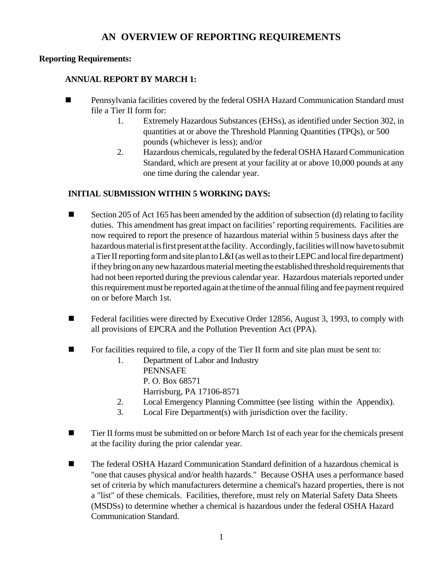#### **AN OVERVIEW OF REPORTING REQUIREMENTS**

#### **Reporting Requirements:**

#### **ANNUAL REPORT BY MARCH 1:**

- Pennsylvania facilities covered by the federal OSHA Hazard Communication Standard must file a Tier II form for:
	- 1. Extremely Hazardous Substances (EHSs), as identified under Section 302, in quantities at or above the Threshold Planning Quantities (TPQs), or 500 pounds (whichever is less); and/or
	- 2. Hazardous chemicals, regulated by the federal OSHA Hazard Communication Standard, which are present at your facility at or above 10,000 pounds at any one time during the calendar year.

#### **INITIAL SUBMISSION WITHIN 5 WORKING DAYS:**

- Section 205 of Act 165 has been amended by the addition of subsection (d) relating to facility duties. This amendment has great impact on facilities' reporting requirements. Facilities are now required to report the presence of hazardous material within 5 business days after the hazardous material is first present at the facility. Accordingly, facilities will now have to submit a Tier II reporting form and site plan to L&I (as well as to their LEPC and local fire department) if they bring on any new hazardous material meeting the established threshold requirements that had not been reported during the previous calendar year. Hazardous materials reported under this requirement must be reported again at the time of the annual filing and fee payment required on or before March 1st.
- Federal facilities were directed by Executive Order 12856, August 3, 1993, to comply with all provisions of EPCRA and the Pollution Prevention Act (PPA).
- $\blacksquare$  For facilities required to file, a copy of the Tier II form and site plan must be sent to:
	- 1. Department of Labor and Industry PENNSAFE P. O. Box 68571 Harrisburg, PA 17106-8571
	- 2. Local Emergency Planning Committee (see listing within the Appendix).
	- 3. Local Fire Department(s) with jurisdiction over the facility.
- **n** Tier II forms must be submitted on or before March 1st of each year for the chemicals present at the facility during the prior calendar year.
- The federal OSHA Hazard Communication Standard definition of a hazardous chemical is "one that causes physical and/or health hazards." Because OSHA uses a performance based set of criteria by which manufacturers determine a chemical's hazard properties, there is not a "list" of these chemicals. Facilities, therefore, must rely on Material Safety Data Sheets (MSDSs) to determine whether a chemical is hazardous under the federal OSHA Hazard Communication Standard.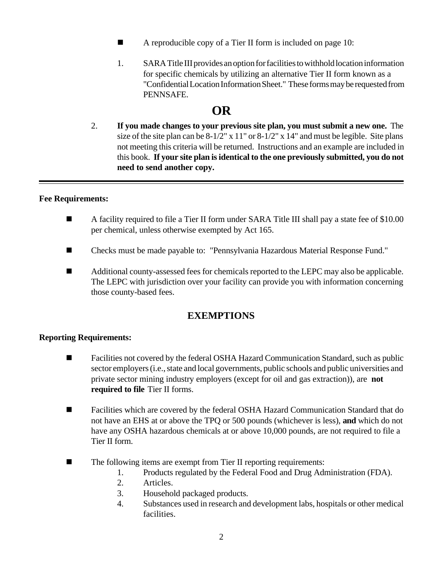- A reproducible copy of a Tier II form is included on page 10:
- 1. SARA Title III provides an option for facilities to withhold location information for specific chemicals by utilizing an alternative Tier II form known as a "Confidential Location Information Sheet." These forms may be requested from PENNSAFE.

# **OR**

2. **If you made changes to your previous site plan, you must submit a new one.** The size of the site plan can be  $8-1/2$ " x  $11$ " or  $8-1/2$ " x  $14$ " and must be legible. Site plans not meeting this criteria will be returned. Instructions and an example are included in this book. **If your site plan is identical to the one previously submitted, you do not need to send another copy.**

#### **Fee Requirements:**

- A facility required to file a Tier II form under SARA Title III shall pay a state fee of \$10.00 per chemical, unless otherwise exempted by Act 165.
- Checks must be made payable to: "Pennsylvania Hazardous Material Response Fund."
- Additional county-assessed fees for chemicals reported to the LEPC may also be applicable. The LEPC with jurisdiction over your facility can provide you with information concerning those county-based fees.

#### **EXEMPTIONS**

#### **Reporting Requirements:**

- Facilities not covered by the federal OSHA Hazard Communication Standard, such as public sector employers (i.e., state and local governments, public schools and public universities and private sector mining industry employers (except for oil and gas extraction)), are **not required to file** Tier II forms.
- Facilities which are covered by the federal OSHA Hazard Communication Standard that do not have an EHS at or above the TPQ or 500 pounds (whichever is less), **and** which do not have any OSHA hazardous chemicals at or above 10,000 pounds, are not required to file a Tier II form.
- The following items are exempt from Tier II reporting requirements:
	- 1. Products regulated by the Federal Food and Drug Administration (FDA).
	- 2. Articles.
	- 3. Household packaged products.
	- 4. Substances used in research and development labs, hospitals or other medical facilities.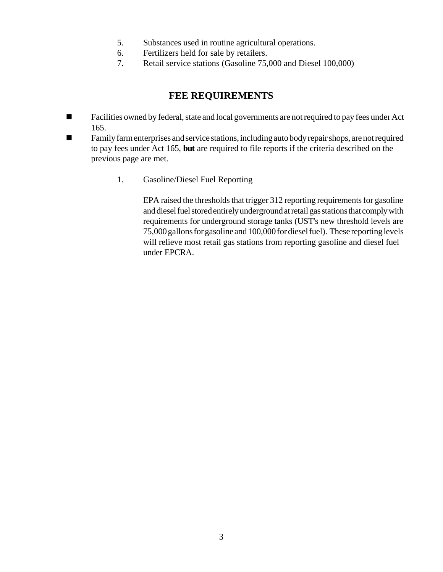- 5. Substances used in routine agricultural operations.
- 6. Fertilizers held for sale by retailers.
- 7. Retail service stations (Gasoline 75,000 and Diesel 100,000)

### **FEE REQUIREMENTS**

- Facilities owned by federal, state and local governments are not required to pay fees under Act 165.
- Family farm enterprises and service stations, including auto body repair shops, are not required to pay fees under Act 165, **but** are required to file reports if the criteria described on the previous page are met.
	- 1. Gasoline/Diesel Fuel Reporting

EPA raised the thresholds that trigger 312 reporting requirements for gasoline and diesel fuel stored entirely underground at retail gas stations that comply with requirements for underground storage tanks (UST's new threshold levels are 75,000 gallons for gasoline and 100,000 for diesel fuel). These reporting levels will relieve most retail gas stations from reporting gasoline and diesel fuel under EPCRA.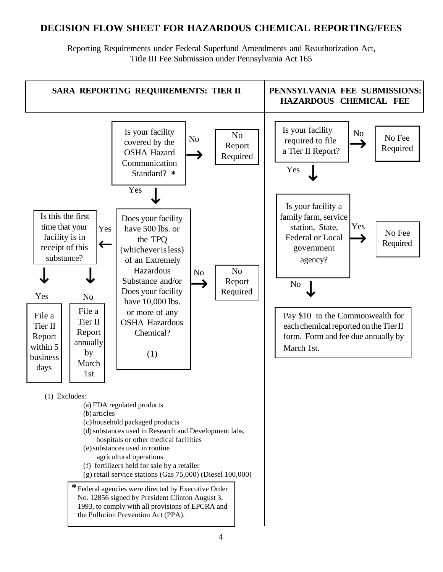### **DECISION FLOW SHEET FOR HAZARDOUS CHEMICAL REPORTING/FEES**

Reporting Requirements under Federal Superfund Amendments and Reauthorization Act, Title III Fee Submission under Pennsylvania Act 165

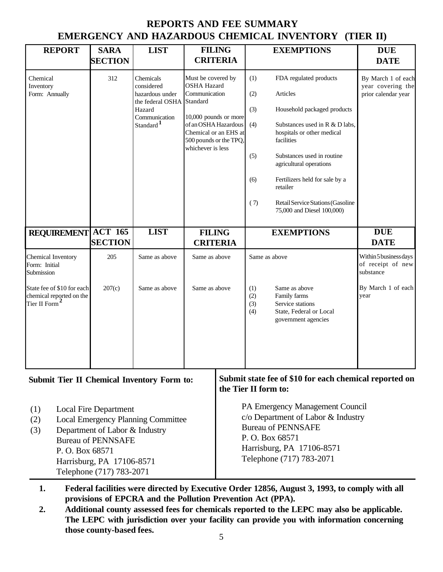|                                                                                     |                                                                                                                                                      |                                                                                                                    |                                                                                                                                                                                                |                      |                                               | EMERGENCY AND HAZARDOUS CHEMICAL INVENTORY (TIER II)                                                                                                                                                                                                                                                                      |                                                                |
|-------------------------------------------------------------------------------------|------------------------------------------------------------------------------------------------------------------------------------------------------|--------------------------------------------------------------------------------------------------------------------|------------------------------------------------------------------------------------------------------------------------------------------------------------------------------------------------|----------------------|-----------------------------------------------|---------------------------------------------------------------------------------------------------------------------------------------------------------------------------------------------------------------------------------------------------------------------------------------------------------------------------|----------------------------------------------------------------|
| <b>REPORT</b>                                                                       | <b>SARA</b><br><b>SECTION</b>                                                                                                                        | <b>LIST</b>                                                                                                        | <b>FILING</b>                                                                                                                                                                                  | <b>CRITERIA</b>      |                                               | <b>EXEMPTIONS</b>                                                                                                                                                                                                                                                                                                         | <b>DUE</b><br><b>DATE</b>                                      |
| Chemical<br>Inventory<br>Form: Annually                                             | 312                                                                                                                                                  | Chemicals<br>considered<br>hazardous under<br>the federal OSHA<br>Hazard<br>Communication<br>Standard <sup>1</sup> | Must be covered by<br><b>OSHA Hazard</b><br>Communication<br>Standard<br>10,000 pounds or more<br>of an OSHA Hazardous<br>Chemical or an EHS at<br>500 pounds or the TPQ,<br>whichever is less |                      | (1)<br>(2)<br>(3)<br>(4)<br>(5)<br>(6)<br>(7) | FDA regulated products<br>Articles<br>Household packaged products<br>Substances used in R & D labs,<br>hospitals or other medical<br>facilities<br>Substances used in routine<br>agricultural operations<br>Fertilizers held for sale by a<br>retailer<br>Retail Service Stations (Gasoline<br>75,000 and Diesel 100,000) | By March 1 of each<br>year covering the<br>prior calendar year |
| REQUIREMENT ACT 165                                                                 | <b>SECTION</b>                                                                                                                                       | <b>LIST</b>                                                                                                        | <b>FILING</b><br><b>CRITERIA</b>                                                                                                                                                               |                      |                                               | <b>EXEMPTIONS</b>                                                                                                                                                                                                                                                                                                         | <b>DUE</b><br><b>DATE</b>                                      |
| Chemical Inventory<br>Form: Initial<br>Submission                                   | 205                                                                                                                                                  | Same as above                                                                                                      | Same as above                                                                                                                                                                                  |                      |                                               | Same as above                                                                                                                                                                                                                                                                                                             | Within 5 business days<br>of receipt of new<br>substance       |
| State fee of \$10 for each<br>chemical reported on the<br>Tier II Form <sup>4</sup> | 207(c)                                                                                                                                               | Same as above                                                                                                      | Same as above                                                                                                                                                                                  |                      | (1)<br>(2)<br>(3)<br>(4)                      | Same as above<br>Family farms<br>Service stations<br>State, Federal or Local<br>government agencies                                                                                                                                                                                                                       | By March 1 of each<br>year                                     |
| Submit Tier II Chemical Inventory Form to:                                          |                                                                                                                                                      |                                                                                                                    |                                                                                                                                                                                                | the Tier II form to: |                                               | Submit state fee of \$10 for each chemical reported on                                                                                                                                                                                                                                                                    |                                                                |
| (1)<br>(2)<br>(3)<br>P.O. Box 68571                                                 | <b>Local Fire Department</b><br>Department of Labor & Industry<br><b>Bureau of PENNSAFE</b><br>Harrisburg, PA 17106-8571<br>Telephone (717) 783-2071 | <b>Local Emergency Planning Committee</b>                                                                          |                                                                                                                                                                                                |                      |                                               | PA Emergency Management Council<br>c/o Department of Labor & Industry<br><b>Bureau of PENNSAFE</b><br>P.O. Box 68571<br>Harrisburg, PA 17106-8571<br>Telephone (717) 783-2071                                                                                                                                             |                                                                |

# **REPORTS AND FEE SUMMARY EMERGENCY AND HAZARDOUS CHEMICAL INVENTORY (TIER II)**

**1. Federal facilities were directed by Executive Order 12856, August 3, 1993, to comply with all provisions of EPCRA and the Pollution Prevention Act (PPA).**

**2. Additional county assessed fees for chemicals reported to the LEPC may also be applicable. The LEPC with jurisdiction over your facility can provide you with information concerning those county-based fees.**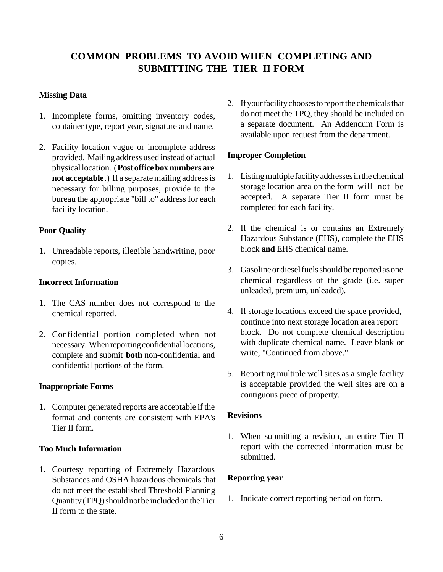# **COMMON PROBLEMS TO AVOID WHEN COMPLETING AND SUBMITTING THE TIER II FORM**

#### **Missing Data**

- 1. Incomplete forms, omitting inventory codes, container type, report year, signature and name.
- 2. Facility location vague or incomplete address provided. Mailing address used instead of actual physical location. (**Post office box numbers are not acceptable**.) If a separate mailing address is necessary for billing purposes, provide to the bureau the appropriate "bill to" address for each facility location.

#### **Poor Quality**

1. Unreadable reports, illegible handwriting, poor copies.

#### **Incorrect Information**

- 1. The CAS number does not correspond to the chemical reported.
- 2. Confidential portion completed when not necessary. When reporting confidential locations, complete and submit **both** non-confidential and confidential portions of the form.

#### **Inappropriate Forms**

1. Computer generated reports are acceptable if the format and contents are consistent with EPA's Tier II form.

#### **Too Much Information**

1. Courtesy reporting of Extremely Hazardous Substances and OSHA hazardous chemicals that do not meet the established Threshold Planning Quantity (TPQ) should not be included on the Tier II form to the state.

2. If your facility chooses to report the chemicals that do not meet the TPQ, they should be included on a separate document. An Addendum Form is available upon request from the department.

#### **Improper Completion**

- 1. Listing multiple facility addresses in the chemical storage location area on the form will not be accepted. A separate Tier II form must be completed for each facility.
- 2. If the chemical is or contains an Extremely Hazardous Substance (EHS), complete the EHS block **and** EHS chemical name.
- 3. Gasoline or diesel fuels should be reported as one chemical regardless of the grade (i.e. super unleaded, premium, unleaded).
- 4. If storage locations exceed the space provided, continue into next storage location area report block. Do not complete chemical description with duplicate chemical name. Leave blank or write, "Continued from above."
- 5. Reporting multiple well sites as a single facility is acceptable provided the well sites are on a contiguous piece of property.

#### **Revisions**

1. When submitting a revision, an entire Tier II report with the corrected information must be submitted.

#### **Reporting year**

1. Indicate correct reporting period on form.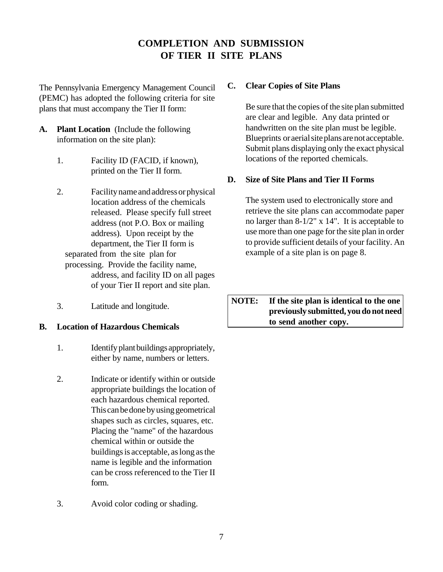# **COMPLETION AND SUBMISSION OF TIER II SITE PLANS**

The Pennsylvania Emergency Management Council (PEMC) has adopted the following criteria for site plans that must accompany the Tier II form:

- **A. Plant Location** (Include the following information on the site plan):
	- 1. Facility ID (FACID, if known), printed on the Tier II form.
	- 2. Facility name and address or physical location address of the chemicals released. Please specify full street address (not P.O. Box or mailing address). Upon receipt by the department, the Tier II form is separated from the site plan for processing. Provide the facility name, address, and facility ID on all pages of your Tier II report and site plan.
	- 3. Latitude and longitude.

#### **B. Location of Hazardous Chemicals**

- 1. Identify plant buildings appropriately, either by name, numbers or letters.
- 2. Indicate or identify within or outside appropriate buildings the location of each hazardous chemical reported. This can be done by using geometrical shapes such as circles, squares, etc. Placing the "name" of the hazardous chemical within or outside the buildings is acceptable, as long as the name is legible and the information can be cross referenced to the Tier II form.
- 3. Avoid color coding or shading.

#### **C. Clear Copies of Site Plans**

Be sure that the copies of the site plan submitted are clear and legible. Any data printed or handwritten on the site plan must be legible. Blueprints or aerial site plans are not acceptable. Submit plans displaying only the exact physical locations of the reported chemicals.

#### **D. Size of Site Plans and Tier II Forms**

The system used to electronically store and retrieve the site plans can accommodate paper no larger than 8-1/2" x 14". It is acceptable to use more than one page for the site plan in order to provide sufficient details of your facility. An example of a site plan is on page 8.

**NOTE: If the site plan is identical to the one previously submitted, you do not need to send another copy.**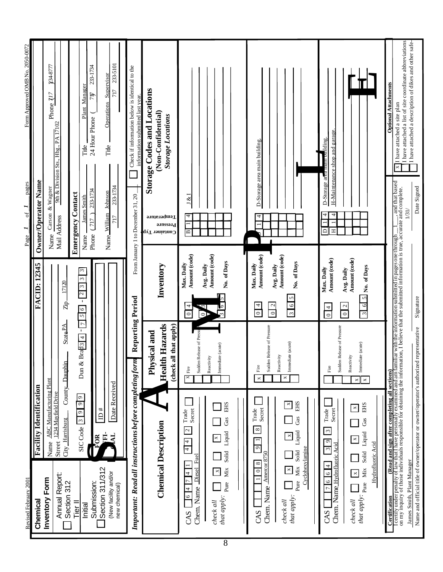| Revised February 2001                                                                              |                                                                                 |                                                                 |                                                                                                                                               | pages<br>$\mathfrak{h}$<br>Page                                                                                                                                                                                                                           | Form Approved OMB No. 2050-0072                                                                        |  |
|----------------------------------------------------------------------------------------------------|---------------------------------------------------------------------------------|-----------------------------------------------------------------|-----------------------------------------------------------------------------------------------------------------------------------------------|-----------------------------------------------------------------------------------------------------------------------------------------------------------------------------------------------------------------------------------------------------------|--------------------------------------------------------------------------------------------------------|--|
| Chemical                                                                                           | <b>Facility Identification</b>                                                  |                                                                 | <b>FACID: 12345</b>                                                                                                                           | Owner/Operator Name                                                                                                                                                                                                                                       |                                                                                                        |  |
| Inventory Form                                                                                     | ABC Manufacturing Plant<br>1234 Mayfield Drive<br>Street<br>Name                |                                                                 |                                                                                                                                               | & Wagner<br>Carson<br>Name                                                                                                                                                                                                                                | 234-8777<br>$\overline{ }$<br>$\tilde{\mathcal{L}}$<br>Phone<br>9th & Division Sts., Hbg., PA $17102$  |  |
| Annual Report:<br>Section 312                                                                      | City_Harrisburg                                                                 | State PA<br>County_Dauphin                                      | 17120<br>$\frac{1}{K}$                                                                                                                        | Mail Address                                                                                                                                                                                                                                              |                                                                                                        |  |
| Tier <sup>II</sup>                                                                                 | $\circ$<br>$\sigma$<br>$\circ$<br>$SICCode$ $\boxed{3}$                         | $\overline{7}$<br>$\mathbf{I}$<br>Brab3 [4]<br>Dun $\&$         | $\sim$<br>2   3<br>$\mathbf{1}$<br>5 6                                                                                                        | <b>Emergency Contact</b>                                                                                                                                                                                                                                  |                                                                                                        |  |
| Submission:<br>Initial                                                                             |                                                                                 |                                                                 | 3                                                                                                                                             | 233-1734<br><b>James Smith</b><br>(717)<br>Phone -<br>Name.                                                                                                                                                                                               | 233-1734<br>Plant Manager<br>71)<br>24 Hour Phone (<br>Title                                           |  |
| Section 311/312                                                                                    | #<br>$\triangle$<br>Ē.<br>FOR                                                   |                                                                 |                                                                                                                                               |                                                                                                                                                                                                                                                           |                                                                                                        |  |
| (New facility and/or<br>new chemical)                                                              | Date Received<br>$\mathbf{F}$                                                   |                                                                 |                                                                                                                                               | 233-1734<br>Name_William_Johnson<br>717                                                                                                                                                                                                                   | 233-5101<br>Supervisor<br>717<br>Operations<br>Title                                                   |  |
| Important: Read all instructions before completing form                                            |                                                                                 | Reporting Period                                                |                                                                                                                                               | From January 1 to December 31, 20                                                                                                                                                                                                                         | Check if information below is identical to the<br>information submitted last year.                     |  |
|                                                                                                    | <b>Chemical Description</b>                                                     | <b>Health Hazards</b><br>(check all that apply)<br>Physical and | Inventory                                                                                                                                     | Temperature<br>Pressure<br>Container Typ                                                                                                                                                                                                                  | <b>Storage Codes and Locations</b><br>(Non-Confidential)<br><b>Storage Locations</b>                   |  |
| Fuel<br>Diesel<br>4<br>$\overline{7}$<br>Chem. Name<br>4<br>$\circ$<br>CAS                         | Secret<br>Trade<br>$\overline{a}$<br>$\frac{4}{4}$                              | Release of Pressu<br>Sudden<br>Fire<br>⊻                        | Amount (code)<br>Max. Daily<br>$\circ$<br>0                                                                                                   | $\otimes$<br>J<br>4<br>$\mathbf{m}$                                                                                                                                                                                                                       |                                                                                                        |  |
| Ńіх<br>×<br>$_{\rm Pure}$<br>that apply:<br>check all                                              | <b>EHS</b><br>Gas<br>Liquid<br>×<br>Solid                                       | Immediate (acute)<br>Reactivity                                 | Amount (code)<br>No. of Days<br>Avg. Daily                                                                                                    |                                                                                                                                                                                                                                                           |                                                                                                        |  |
|                                                                                                    |                                                                                 |                                                                 |                                                                                                                                               |                                                                                                                                                                                                                                                           |                                                                                                        |  |
| Amercor <sub>87</sub><br>${}^{\circ}$<br>$\overline{\circ}$<br>$\overline{ }$<br>Chem. Name<br>CAS | Secret<br>Trade<br>$\infty$<br>$\overline{\phantom{a}}$<br>$\circ$<br>50        | Sudden Release of Pressure<br>Fire<br>×                         | Amount (code)<br>Max. Daily<br>Avg. Daily<br>$\overline{\phantom{a}}$<br>$\begin{array}{ c c } \hline 0 & 2 \\ \hline \end{array}$<br>$\circ$ | 4<br>≏                                                                                                                                                                                                                                                    | D-Storage area main building.                                                                          |  |
| Cyclohexylamine<br>Мiх<br>$\mathbf X$<br>Pure<br>that apply:<br>check all                          | <b>EHS</b><br>$\mathbf{x}$<br>Gas<br>Liquid<br>×<br>Solid                       | Immediate (acute)<br>Reactivity<br>$\Join$                      | Amount (code)<br>No. of Days<br>$\mathbf{\hat{c}}$<br>$3 \overline{6}$                                                                        |                                                                                                                                                                                                                                                           |                                                                                                        |  |
| Chem. Name Hydrofluoric Acid<br>4<br>$\circ$<br>$\circ$<br>$\overline{r}$<br>CAS                   | Secret<br>Trade<br>$\omega$<br>$\overline{9}$<br>$\overline{\mathbf{3}}$        | Sudden Release of Pressure<br>Fire                              | Amount (code)<br>Max. Daily<br>$\frac{1}{4}$                                                                                                  | D-Storage area m<br>4<br>$\Box$<br>Ξ                                                                                                                                                                                                                      | H-Maintenance shop and garage<br><b>Milding.</b>                                                       |  |
| Hydrofluoric<br>Мiх<br>$\boldsymbol{\times}$<br>$_{\rm Pure}$<br>that apply:<br>check all          | <b>EHS</b><br>$\,\varkappa$<br>Gas<br>Liquid<br>$\pmb{\times}$<br>Acid<br>Solid | Immediate (acute)<br>Reactivity<br>$\Join$<br>$\Join$           | Amount (code)<br>No. of Days<br>Avg. Daily<br>$\overline{5}$<br>$\epsilon$<br>$\frac{2}{\sqrt{2}}$<br>$\overline{\mathcal{E}}$                |                                                                                                                                                                                                                                                           |                                                                                                        |  |
| <b>Certification</b>                                                                               |                                                                                 |                                                                 |                                                                                                                                               |                                                                                                                                                                                                                                                           | <b>Optional Attachments</b>                                                                            |  |
|                                                                                                    |                                                                                 |                                                                 |                                                                                                                                               | <b>Certification</b><br>Lectify under penalty of law that I have personally examined and am familiar with the information submitted in pages one through $\frac{1}{\sqrt{2}}$ , and that based<br>on my inquiry of those individuals responsible<br>1/31/ | I have attached a list of site coordinate abbreviations<br>I have attached a site plan<br>$\mathsf{x}$ |  |
| James Smith, Plant Manager                                                                         | Name and official title of owner/operator or owner/operator's authorized        | representative                                                  | Signature                                                                                                                                     | Date Signed                                                                                                                                                                                                                                               | I have attached a description of dikes and other safe-                                                 |  |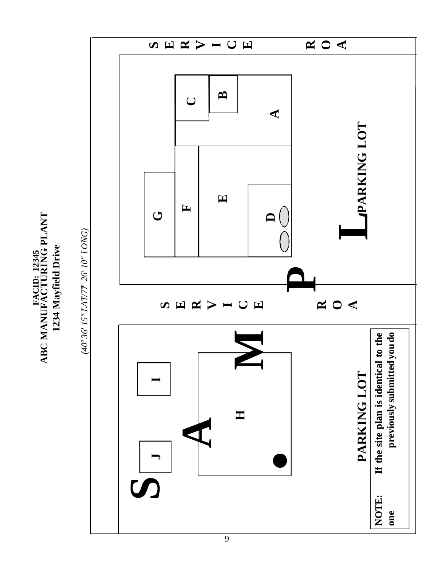RACID: 12345<br>ABC MANUFACTURING PLANT **ABC MANUFACTURING PLANT** 1234 Mayfield Drive **1234 Mayfield Drive FACID: 12345**



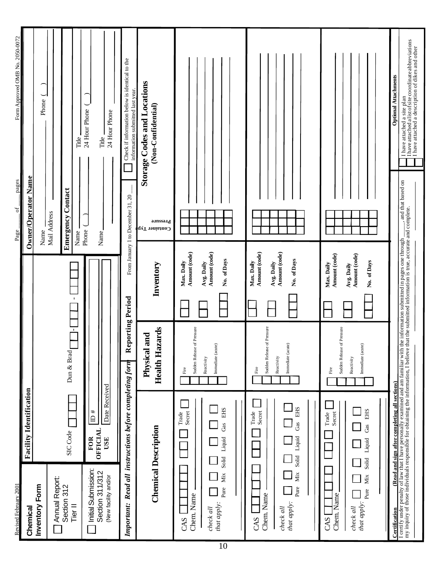| Revised February 2001                                                                                                                                                                                                             |                                                                                                                                                             |                                                                                                                                                                                                                         |                                                                                                                                                                                                                                     | - pages<br>$-$ of $-$<br>Page.    | Form Approved OMB No. 2050-0072                                                                                                            |
|-----------------------------------------------------------------------------------------------------------------------------------------------------------------------------------------------------------------------------------|-------------------------------------------------------------------------------------------------------------------------------------------------------------|-------------------------------------------------------------------------------------------------------------------------------------------------------------------------------------------------------------------------|-------------------------------------------------------------------------------------------------------------------------------------------------------------------------------------------------------------------------------------|-----------------------------------|--------------------------------------------------------------------------------------------------------------------------------------------|
| Chemical                                                                                                                                                                                                                          | <b>Facility Identification</b>                                                                                                                              |                                                                                                                                                                                                                         |                                                                                                                                                                                                                                     | <b>Owner/Operator Name</b>        |                                                                                                                                            |
| Inventory Form                                                                                                                                                                                                                    |                                                                                                                                                             |                                                                                                                                                                                                                         |                                                                                                                                                                                                                                     | Name                              | Phone                                                                                                                                      |
| Annual Report:                                                                                                                                                                                                                    |                                                                                                                                                             |                                                                                                                                                                                                                         |                                                                                                                                                                                                                                     | Mail Address                      |                                                                                                                                            |
| Section 312                                                                                                                                                                                                                       | SIC Code                                                                                                                                                    | Dun & Brad                                                                                                                                                                                                              |                                                                                                                                                                                                                                     | Contact<br>Emergency              |                                                                                                                                            |
| Tier <sup>II</sup>                                                                                                                                                                                                                |                                                                                                                                                             | $\overline{\phantom{a}}$                                                                                                                                                                                                | $\bar{\mathbf{I}}$                                                                                                                                                                                                                  | Name                              | Title                                                                                                                                      |
| <b>Initial Submission:</b>                                                                                                                                                                                                        | $\overline{D}$ #<br><b>FOR</b>                                                                                                                              |                                                                                                                                                                                                                         |                                                                                                                                                                                                                                     | Phone                             | 24 Hour Phone                                                                                                                              |
| Section 311/312                                                                                                                                                                                                                   | Date Received<br><b>OFFICIAL</b><br>USE                                                                                                                     |                                                                                                                                                                                                                         |                                                                                                                                                                                                                                     | Name.                             | Title                                                                                                                                      |
| (New facility and/or                                                                                                                                                                                                              |                                                                                                                                                             |                                                                                                                                                                                                                         |                                                                                                                                                                                                                                     |                                   | 24 Hour Phone                                                                                                                              |
| Important: Read all instructions before completing form                                                                                                                                                                           |                                                                                                                                                             | Reporting Period                                                                                                                                                                                                        |                                                                                                                                                                                                                                     | From January 1 to December 31, 20 | Check if information below is identical to the<br>information submitted last year.                                                         |
| <b>Chemical Description</b>                                                                                                                                                                                                       |                                                                                                                                                             | lazards<br>Physical and<br>Health H                                                                                                                                                                                     | Inventory                                                                                                                                                                                                                           | อ.เทรรอ.เ<br>Container Typ        | <b>Storage Codes and Locations</b><br>(Non-Confidential)                                                                                   |
| Solid<br>Solid<br>Mix<br>Мiх<br>Mix<br>Pure<br>Pure<br>Pure<br>Chem. Name<br>Chem. Name<br>Chem. Name<br>that apply:<br>that apply:<br>that apply:<br>check all<br>$check \ all$<br>check all<br>CAS<br>CAS<br>CAS                | <b>EHS</b><br><b>EHS</b><br><b>EHS</b><br>Secret<br>Secret<br>Trade<br>Trade<br>Secret<br>Trade<br>Gas<br>Gas<br>Gas<br>Liquid<br>Liquid<br>Liquid<br>Solid | Sudden Release of Pressure<br>Sudden Release of Pressure<br>Sudden Release of Pressure<br>Immediate (acute)<br>Immediate (acute)<br>Immediate (acute)<br>Reactivity<br>Reactivity<br>Reactivity<br>Fire<br>Fire<br>Fire | Amount (code)<br>Amount (code)<br>Amount (code)<br>Amount (code)<br>Amount (code)<br>Amount (code)<br>No. of Days<br>No. of Days<br>No. of Days<br>Max. Daily<br>Max. Daily<br>Avg. Daily<br>Avg. Daily<br>Max. Daily<br>Avg. Daily |                                   |                                                                                                                                            |
| Certification                                                                                                                                                                                                                     | (Read and sign after completing all sections)                                                                                                               |                                                                                                                                                                                                                         |                                                                                                                                                                                                                                     |                                   | <b>Optional Attachments</b>                                                                                                                |
| I certify under penalty of law that I have personally examined and am familiar with the information submitted in pages one through _____, and that based on<br>my inquiry of those individuals responsible for obtaining the info |                                                                                                                                                             |                                                                                                                                                                                                                         |                                                                                                                                                                                                                                     |                                   | I have attached a list of site coordinate abbreviations<br>I have attached a description of dikes and other<br>I have attached a site plan |
|                                                                                                                                                                                                                                   |                                                                                                                                                             |                                                                                                                                                                                                                         |                                                                                                                                                                                                                                     |                                   |                                                                                                                                            |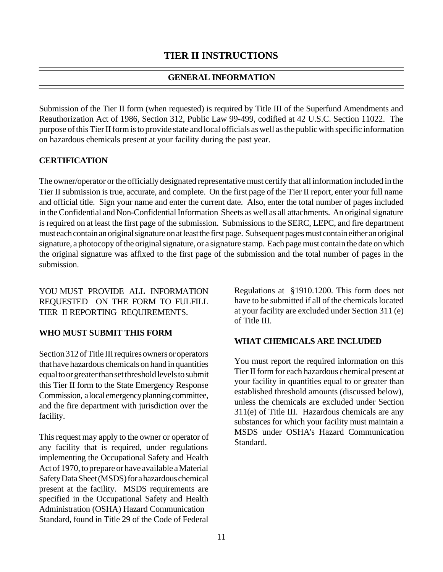#### **GENERAL INFORMATION**

Submission of the Tier II form (when requested) is required by Title III of the Superfund Amendments and Reauthorization Act of 1986, Section 312, Public Law 99-499, codified at 42 U.S.C. Section 11022. The purpose of this Tier II form is to provide state and local officials as well as the public with specific information on hazardous chemicals present at your facility during the past year.

#### **CERTIFICATION**

The owner/operator or the officially designated representative must certify that all information included in the Tier II submission is true, accurate, and complete. On the first page of the Tier II report, enter your full name and official title. Sign your name and enter the current date. Also, enter the total number of pages included in the Confidential and Non-Confidential Information Sheets as well as all attachments. An original signature is required on at least the first page of the submission. Submissions to the SERC, LEPC, and fire department must each contain an original signature on at least the first page. Subsequent pages must contain either an original signature, a photocopy of the original signature, or a signature stamp. Each page must contain the date on which the original signature was affixed to the first page of the submission and the total number of pages in the submission.

YOU MUST PROVIDE ALL INFORMATION REQUESTED ON THE FORM TO FULFILL TIER II REPORTING REQUIREMENTS.

#### **WHO MUST SUBMIT THIS FORM**

Section 312 of Title III requires owners or operators that have hazardous chemicals on hand in quantities equal to or greater than set threshold levels to submit this Tier II form to the State Emergency Response Commission, a local emergency planning committee, and the fire department with jurisdiction over the facility.

This request may apply to the owner or operator of any facility that is required, under regulations implementing the Occupational Safety and Health Act of 1970, to prepare or have available a Material Safety Data Sheet (MSDS) for a hazardous chemical present at the facility. MSDS requirements are specified in the Occupational Safety and Health Administration (OSHA) Hazard Communication Standard, found in Title 29 of the Code of Federal Regulations at §1910.1200. This form does not have to be submitted if all of the chemicals located at your facility are excluded under Section 311 (e) of Title III.

#### **WHAT CHEMICALS ARE INCLUDED**

You must report the required information on this Tier II form for each hazardous chemical present at your facility in quantities equal to or greater than established threshold amounts (discussed below), unless the chemicals are excluded under Section 311(e) of Title III. Hazardous chemicals are any substances for which your facility must maintain a MSDS under OSHA's Hazard Communication Standard.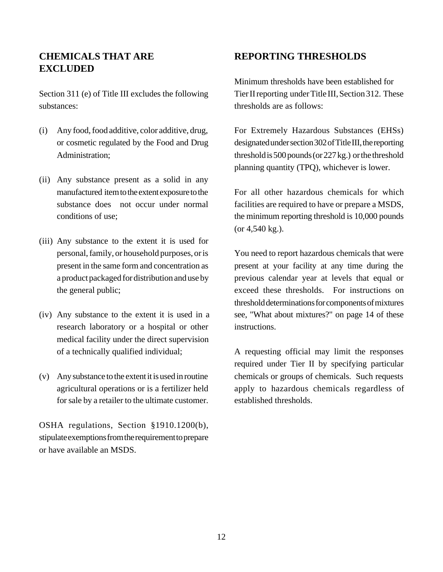# **CHEMICALS THAT ARE EXCLUDED**

Section 311 (e) of Title III excludes the following substances:

- (i) Any food, food additive, color additive, drug, or cosmetic regulated by the Food and Drug Administration;
- (ii) Any substance present as a solid in any manufactured item to the extent exposure to the substance does not occur under normal conditions of use;
- (iii) Any substance to the extent it is used for personal, family, or household purposes, or is present in the same form and concentration as a product packaged for distribution and use by the general public;
- (iv) Any substance to the extent it is used in a research laboratory or a hospital or other medical facility under the direct supervision of a technically qualified individual;
- (v) Any substance to the extent it is used in routine agricultural operations or is a fertilizer held for sale by a retailer to the ultimate customer.

OSHA regulations, Section §1910.1200(b), stipulate exemptions from the requirement to prepare or have available an MSDS.

### **REPORTING THRESHOLDS**

Minimum thresholds have been established for Tier II reporting under Title III, Section 312. These thresholds are as follows:

For Extremely Hazardous Substances (EHSs) designated under section 302 of Title III, the reporting threshold is 500 pounds (or 227 kg.) or the threshold planning quantity (TPQ), whichever is lower.

For all other hazardous chemicals for which facilities are required to have or prepare a MSDS, the minimum reporting threshold is 10,000 pounds (or 4,540 kg.).

You need to report hazardous chemicals that were present at your facility at any time during the previous calendar year at levels that equal or exceed these thresholds. For instructions on threshold determinations for components of mixtures see, "What about mixtures?" on page 14 of these instructions.

A requesting official may limit the responses required under Tier II by specifying particular chemicals or groups of chemicals. Such requests apply to hazardous chemicals regardless of established thresholds.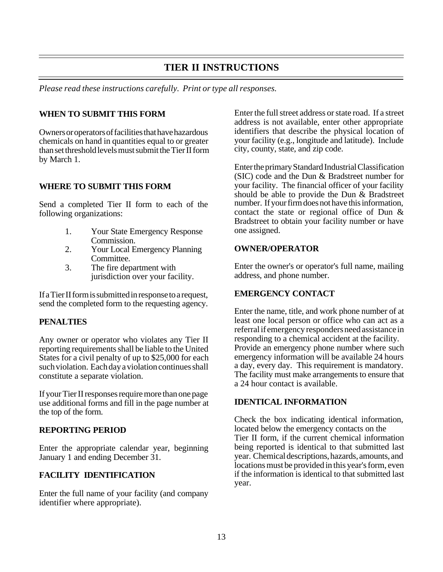### **TIER II INSTRUCTIONS**

*Please read these instructions carefully. Print or type all responses.*

#### **WHEN TO SUBMIT THIS FORM**

Owners or operators of facilities that have hazardous chemicals on hand in quantities equal to or greater than set threshold levels must submit the Tier II form by March 1.

#### **WHERE TO SUBMIT THIS FORM**

Send a completed Tier II form to each of the following organizations:

- 1. Your State Emergency Response Commission.
- 2. Your Local Emergency Planning Committee.
- 3. The fire department with jurisdiction over your facility.

If a Tier II form is submitted in response to a request, send the completed form to the requesting agency.

#### **PENALTIES**

Any owner or operator who violates any Tier II reporting requirements shall be liable to the United States for a civil penalty of up to \$25,000 for each such violation. Each day a violation continues shall constitute a separate violation.

If your Tier II responses require more than one page use additional forms and fill in the page number at the top of the form.

#### **REPORTING PERIOD**

Enter the appropriate calendar year, beginning January 1 and ending December 31.

#### **FACILITY IDENTIFICATION**

Enter the full name of your facility (and company identifier where appropriate).

Enter the full street address or state road. If a street address is not available, enter other appropriate identifiers that describe the physical location of your facility (e.g., longitude and latitude). Include city, county, state, and zip code.

Enter the primary Standard Industrial Classification (SIC) code and the Dun & Bradstreet number for your facility. The financial officer of your facility should be able to provide the Dun & Bradstreet number. If your firm does not have this information, contact the state or regional office of Dun & Bradstreet to obtain your facility number or have one assigned.

#### **OWNER/OPERATOR**

Enter the owner's or operator's full name, mailing address, and phone number.

#### **EMERGENCY CONTACT**

Enter the name, title, and work phone number of at least one local person or office who can act as a referral if emergency responders need assistance in responding to a chemical accident at the facility. Provide an emergency phone number where such emergency information will be available 24 hours a day, every day. This requirement is mandatory. The facility must make arrangements to ensure that a 24 hour contact is available.

#### **IDENTICAL INFORMATION**

Check the box indicating identical information, located below the emergency contacts on the Tier II form, if the current chemical information being reported is identical to that submitted last year. Chemical descriptions, hazards, amounts, and locations must be provided in this year's form, even if the information is identical to that submitted last year.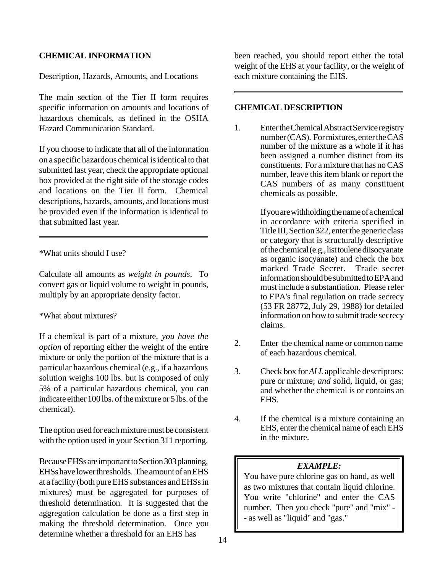#### **CHEMICAL INFORMATION**

Description, Hazards, Amounts, and Locations

The main section of the Tier II form requires specific information on amounts and locations of hazardous chemicals, as defined in the OSHA Hazard Communication Standard.

If you choose to indicate that all of the information on a specific hazardous chemical is identical to that submitted last year, check the appropriate optional box provided at the right side of the storage codes and locations on the Tier II form. Chemical descriptions, hazards, amounts, and locations must be provided even if the information is identical to that submitted last year.

\*What units should I use?

Calculate all amounts as *weight in pounds*. To convert gas or liquid volume to weight in pounds, multiply by an appropriate density factor.

#### \*What about mixtures?

If a chemical is part of a mixture, *you have the option* of reporting either the weight of the entire mixture or only the portion of the mixture that is a particular hazardous chemical (e.g., if a hazardous solution weighs 100 lbs. but is composed of only 5% of a particular hazardous chemical, you can indicate either 100 lbs. of the mixture or 5 lbs. of the chemical).

The option used for each mixture must be consistent with the option used in your Section 311 reporting.

Because EHSs are important to Section 303 planning, EHSs have lower thresholds. The amount of an EHS at a facility (both pure EHS substances and EHSs in mixtures) must be aggregated for purposes of threshold determination. It is suggested that the aggregation calculation be done as a first step in making the threshold determination. Once you determine whether a threshold for an EHS has

been reached, you should report either the total weight of the EHS at your facility, or the weight of each mixture containing the EHS.

#### **CHEMICAL DESCRIPTION**

1. Enter the Chemical Abstract Service registry number (CAS). For mixtures, enter the CAS number of the mixture as a whole if it has been assigned a number distinct from its constituents. For a mixture that has no CAS number, leave this item blank or report the CAS numbers of as many constituent chemicals as possible.

> If you are withholding the name of a chemical in accordance with criteria specified in Title III, Section 322, enter the generic class or category that is structurally descriptive of the chemical (e.g., list toulene diisocyanate as organic isocyanate) and check the box marked Trade Secret. Trade secret information should be submitted to EPA and must include a substantiation. Please refer to EPA's final regulation on trade secrecy (53 FR 28772, July 29, 1988) for detailed information on how to submit trade secrecy claims.

- 2. Enter the chemical name or common name of each hazardous chemical.
- 3. Check box for *ALL* applicable descriptors: pure or mixture; *and* solid, liquid, or gas; and whether the chemical is or contains an EHS.
- 4. If the chemical is a mixture containing an EHS, enter the chemical name of each EHS in the mixture.

#### *EXAMPLE:*

You have pure chlorine gas on hand, as well as two mixtures that contain liquid chlorine. You write "chlorine" and enter the CAS number. Then you check "pure" and "mix" - - as well as "liquid" and "gas."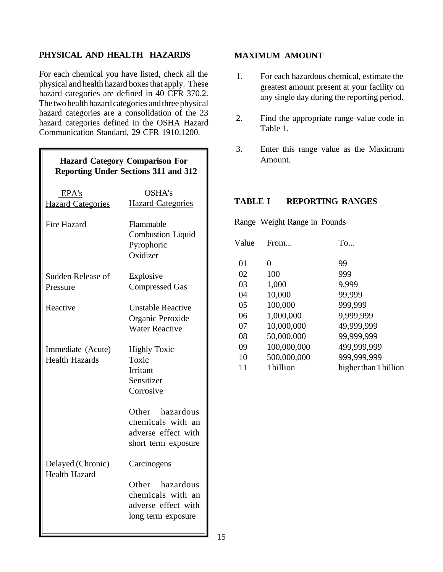#### **PHYSICAL AND HEALTH HAZARDS**

For each chemical you have listed, check all the physical and health hazard boxes that apply. These hazard categories are defined in 40 CFR 370.2. The two health hazard categories and three physical hazard categories are a consolidation of the 23 hazard categories defined in the OSHA Hazard Communication Standard, 29 CFR 1910.1200.

| <b>Hazard Category Comparison For</b>     | <b>Reporting Under Sections 311 and 312</b>                                        |
|-------------------------------------------|------------------------------------------------------------------------------------|
| EPA's                                     | OSHA's                                                                             |
| <b>Hazard Categories</b>                  | <b>Hazard Categories</b>                                                           |
| <b>Fire Hazard</b>                        | Flammable<br><b>Combustion Liquid</b><br>Pyrophoric<br>Oxidizer                    |
| Sudden Release of                         | Explosive                                                                          |
| Pressure                                  | <b>Compressed Gas</b>                                                              |
| Reactive                                  | <b>Unstable Reactive</b>                                                           |
|                                           | Organic Peroxide                                                                   |
|                                           | <b>Water Reactive</b>                                                              |
| Immediate (Acute)                         | <b>Highly Toxic</b>                                                                |
| <b>Health Hazards</b>                     | Toxic                                                                              |
|                                           | <b>Irritant</b>                                                                    |
|                                           | Sensitizer                                                                         |
|                                           | Corrosive                                                                          |
|                                           | Other hazardous<br>chemicals with an<br>adverse effect with<br>short term exposure |
| Delayed (Chronic)<br><b>Health Hazard</b> | Carcinogens                                                                        |
|                                           | Other hazardous<br>chemicals with an<br>adverse effect with<br>long term exposure  |

#### **MAXIMUM AMOUNT**

- 1. For each hazardous chemical, estimate the greatest amount present at your facility on any single day during the reporting period.
- 2. Find the appropriate range value code in Table 1.
- 3. Enter this range value as the Maximum Amount.

#### **TABLE I REPORTING RANGES**

Range Weight Range in Pounds

| Value | From        | To                    |
|-------|-------------|-----------------------|
| 01    | 0           | 99                    |
| 02    | 100         | 999                   |
| 03    | 1,000       | 9,999                 |
| 04    | 10,000      | 99,999                |
| 05    | 100,000     | 999,999               |
| 06    | 1,000,000   | 9,999,999             |
| 07    | 10,000,000  | 49,999,999            |
| 08    | 50,000,000  | 99,999,999            |
| 09    | 100,000,000 | 499,999,999           |
| 10    | 500,000,000 | 999,999,999           |
| 11    | 1 billion   | higher than 1 billion |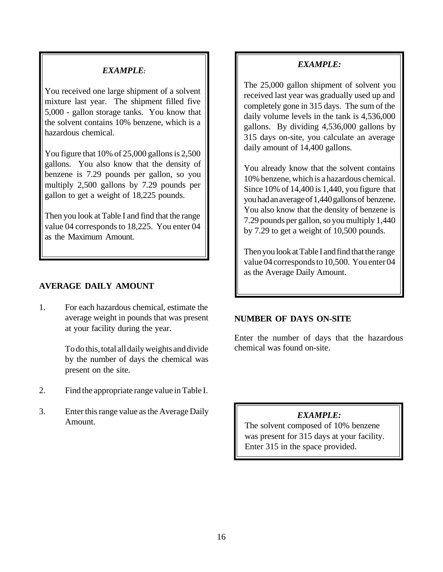#### *EXAMPLE:*

You received one large shipment of a solvent mixture last year. The shipment filled five 5,000 - gallon storage tanks. You know that the solvent contains 10% benzene, which is a hazardous chemical.

You figure that 10% of 25,000 gallons is 2,500 gallons. You also know that the density of benzene is 7.29 pounds per gallon, so you multiply 2,500 gallons by 7.29 pounds per gallon to get a weight of 18,225 pounds.

Then you look at Table I and find that the range value 04 corresponds to 18,225. You enter 04 as the Maximum Amount.

#### **AVERAGE DAILY AMOUNT**

1. For each hazardous chemical, estimate the average weight in pounds that was present at your facility during the year.

> To do this, total all daily weights and divide by the number of days the chemical was present on the site.

- 2. Find the appropriate range value in Table I.
- 3. Enter this range value as the Average Daily Amount.

#### *EXAMPLE:*

The 25,000 gallon shipment of solvent you received last year was gradually used up and completely gone in 315 days. The sum of the daily volume levels in the tank is 4,536,000 gallons. By dividing 4,536,000 gallons by 315 days on-site, you calculate an average daily amount of 14,400 gallons.

You already know that the solvent contains 10% benzene, which is a hazardous chemical. Since 10% of 14,400 is 1,440, you figure that you had an average of 1,440 gallons of benzene. You also know that the density of benzene is 7.29 pounds per gallon, so you multiply 1,440 by 7.29 to get a weight of 10,500 pounds.

Then you look at Table I and find that the range value 04 corresponds to 10,500. You enter 04 as the Average Daily Amount.

#### **NUMBER OF DAYS ON-SITE**

Enter the number of days that the hazardous chemical was found on-site.

#### *EXAMPLE:*

The solvent composed of 10% benzene was present for 315 days at your facility. Enter 315 in the space provided.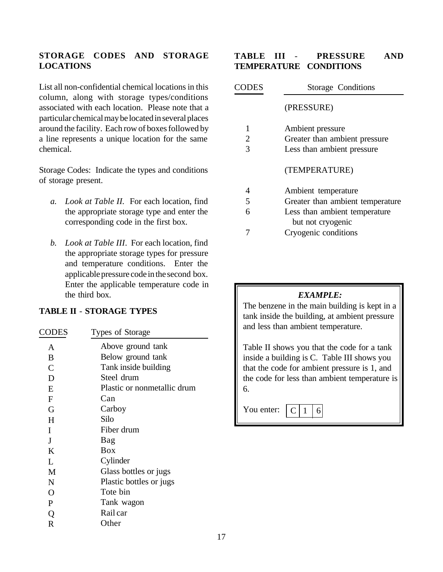#### **STORAGE CODES AND STORAGE LOCATIONS**

List all non-confidential chemical locations in this column, along with storage types/conditions associated with each location. Please note that a particular chemical may be located in several places around the facility. Each row of boxes followed by a line represents a unique location for the same chemical.

Storage Codes: Indicate the types and conditions of storage present.

- *a. Look at Table II.* For each location, find the appropriate storage type and enter the corresponding code in the first box.
- *b. Look at Table III*. For each location, find the appropriate storage types for pressure and temperature conditions. Enter the applicable pressure code in the second box. Enter the applicable temperature code in the third box.

#### **TABLE II** - **STORAGE TYPES**

| CODES          | Types of Storage            |
|----------------|-----------------------------|
| A              | Above ground tank           |
| B              | Below ground tank           |
| $\overline{C}$ | Tank inside building        |
| D              | Steel drum                  |
| E              | Plastic or nonmetallic drum |
| F              | Can                         |
| G              | Carboy                      |
| H              | Silo                        |
| I              | Fiber drum                  |
| J              | Bag                         |
| K              | <b>Box</b>                  |
| L              | Cylinder                    |
| M              | Glass bottles or jugs       |
| N              | Plastic bottles or jugs     |
| $\overline{O}$ | Tote bin                    |
| P              | Tank wagon                  |
| Q              | Rail car                    |
| R              | Other                       |
|                |                             |

#### **TABLE III** - **PRESSURE AND TEMPERATURE CONDITIONS**

| <b>CODES</b> | <b>Storage Conditions</b>        |
|--------------|----------------------------------|
|              | (PRESSURE)                       |
| 1            | Ambient pressure                 |
| 2            | Greater than ambient pressure    |
| 3            | Less than ambient pressure       |
|              | (TEMPERATURE)                    |
| 4            | Ambient temperature              |
| 5            | Greater than ambient temperature |
| 6            | Less than ambient temperature    |
|              | but not cryogenic                |
|              | Cryogenic conditions             |

#### *EXAMPLE:*

The benzene in the main building is kept in a tank inside the building, at ambient pressure and less than ambient temperature.

Table II shows you that the code for a tank inside a building is C. Table III shows you that the code for ambient pressure is 1, and the code for less than ambient temperature is 6.

You enter:  $C$ | 1 | 6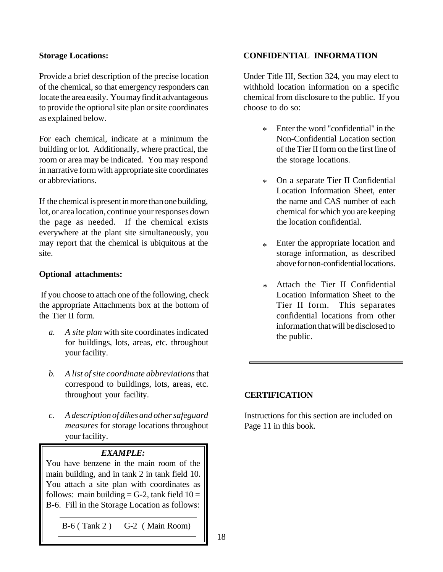#### **Storage Locations:**

Provide a brief description of the precise location of the chemical, so that emergency responders can locate the area easily. You may find it advantageous to provide the optional site plan or site coordinates as explained below.

For each chemical, indicate at a minimum the building or lot. Additionally, where practical, the room or area may be indicated. You may respond in narrative form with appropriate site coordinates or abbreviations.

If the chemical is present in more than one building, lot, or area location, continue your responses down the page as needed. If the chemical exists everywhere at the plant site simultaneously, you may report that the chemical is ubiquitous at the site.

#### **Optional attachments:**

 If you choose to attach one of the following, check the appropriate Attachments box at the bottom of the Tier II form.

- a. *A site plan* with site coordinates indicated the public. for buildings, lots, areas, etc. throughout your facility.
- *b. A list of site coordinate abbreviations* that correspond to buildings, lots, areas, etc. throughout your facility.
- *c. A description of dikes and other safeguard measures* for storage locations throughout your facility.

#### *EXAMPLE:*

You have benzene in the main room of the main building, and in tank 2 in tank field 10. You attach a site plan with coordinates as follows: main building = G-2, tank field  $10 =$ B-6. Fill in the Storage Location as follows:

B-6 ( Tank 2 ) G-2 ( Main Room)

#### **CONFIDENTIAL INFORMATION**

Under Title III, Section 324, you may elect to withhold location information on a specific chemical from disclosure to the public. If you choose to do so:

- Enter the word "confidential" in the Non-Confidential Location section of the Tier II form on the first line of the storage locations. \*
- On a separate Tier II Confidential Location Information Sheet, enter the name and CAS number of each chemical for which you are keeping the location confidential. \*
- Enter the appropriate location and storage information, as described above for non-confidential locations. \*
- Attach the Tier II Confidential Location Information Sheet to the Tier II form. This separates confidential locations from other information that will be disclosed to \*

#### **CERTIFICATION**

Instructions for this section are included on Page 11 in this book.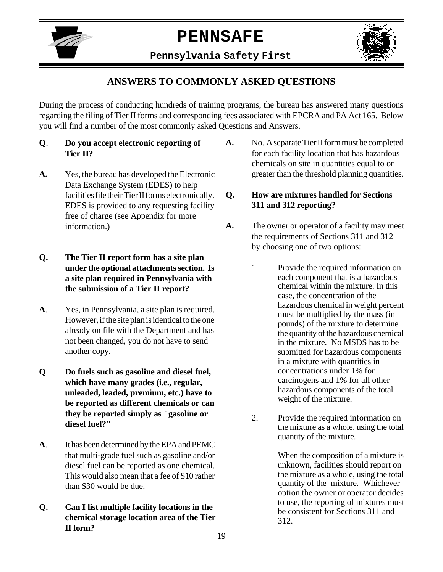

# **PENNSAFE**

**Pennsylvania Safety First**



# **ANSWERS TO COMMONLY ASKED QUESTIONS**

During the process of conducting hundreds of training programs, the bureau has answered many questions regarding the filing of Tier II forms and corresponding fees associated with EPCRA and PA Act 165. Below you will find a number of the most commonly asked Questions and Answers.

- **Q**. **Do you accept electronic reporting of Tier II?**
- **A.** Yes, the bureau has developed the Electronic Data Exchange System (EDES) to help facilities file their Tier II forms electronically. EDES is provided to any requesting facility free of charge (see Appendix for more information.)

#### **Q. The Tier II report form has a site plan under the optional attachments section. Is a site plan required in Pennsylvania with the submission of a Tier II report?**

- **A**. Yes, in Pennsylvania, a site plan is required. However, if the site plan is identical to the one already on file with the Department and has not been changed, you do not have to send another copy.
- **Q**. **Do fuels such as gasoline and diesel fuel, which have many grades (i.e., regular, unleaded, leaded, premium, etc.) have to be reported as different chemicals or can they be reported simply as "gasoline or diesel fuel?"**
- **A**. It has been determined by the EPA and PEMC that multi-grade fuel such as gasoline and/or diesel fuel can be reported as one chemical. This would also mean that a fee of \$10 rather than \$30 would be due.
- **Q. Can I list multiple facility locations in the chemical storage location area of the Tier II form?**

**A.** No. A separate Tier II form must be completed for each facility location that has hazardous chemicals on site in quantities equal to or greater than the threshold planning quantities.

#### **Q. How are mixtures handled for Sections 311 and 312 reporting?**

- **A.** The owner or operator of a facility may meet the requirements of Sections 311 and 312 by choosing one of two options:
	- 1. Provide the required information on each component that is a hazardous chemical within the mixture. In this case, the concentration of the hazardous chemical in weight percent must be multiplied by the mass (in pounds) of the mixture to determine the quantity of the hazardous chemical in the mixture. No MSDS has to be submitted for hazardous components in a mixture with quantities in concentrations under 1% for carcinogens and 1% for all other hazardous components of the total weight of the mixture.
	- 2. Provide the required information on the mixture as a whole, using the total quantity of the mixture.

When the composition of a mixture is unknown, facilities should report on the mixture as a whole, using the total quantity of the mixture. Whichever option the owner or operator decides to use, the reporting of mixtures must be consistent for Sections 311 and 312.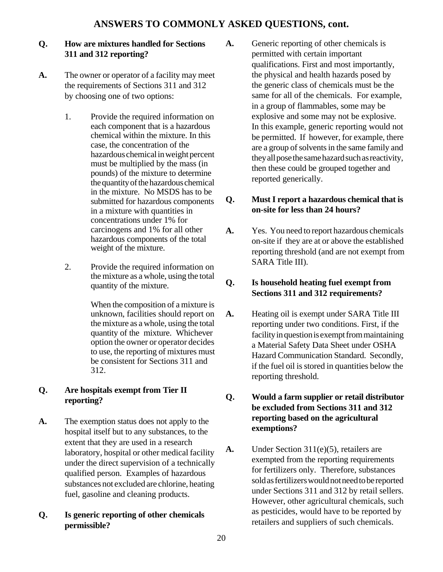# **ANSWERS TO COMMONLY ASKED QUESTIONS, cont.**

#### **Q. How are mixtures handled for Sections 311 and 312 reporting?**

- **A.** The owner or operator of a facility may meet the requirements of Sections 311 and 312 by choosing one of two options:
	- 1. Provide the required information on each component that is a hazardous chemical within the mixture. In this case, the concentration of the hazardous chemical in weight percent must be multiplied by the mass (in pounds) of the mixture to determine the quantity of the hazardous chemical in the mixture. No MSDS has to be submitted for hazardous components in a mixture with quantities in concentrations under 1% for carcinogens and 1% for all other hazardous components of the total weight of the mixture.
	- 2. Provide the required information on the mixture as a whole, using the total quantity of the mixture.

When the composition of a mixture is unknown, facilities should report on the mixture as a whole, using the total quantity of the mixture. Whichever option the owner or operator decides to use, the reporting of mixtures must be consistent for Sections 311 and 312.

#### **Q. Are hospitals exempt from Tier II reporting?**

- **A.** The exemption status does not apply to the hospital itself but to any substances, to the extent that they are used in a research laboratory, hospital or other medical facility under the direct supervision of a technically qualified person. Examples of hazardous substances not excluded are chlorine, heating fuel, gasoline and cleaning products.
- **Q. Is generic reporting of other chemicals permissible?**

**A.** Generic reporting of other chemicals is permitted with certain important qualifications. First and most importantly, the physical and health hazards posed by the generic class of chemicals must be the same for all of the chemicals. For example, in a group of flammables, some may be explosive and some may not be explosive. In this example, generic reporting would not be permitted. If however, for example, there are a group of solvents in the same family and they all pose the same hazard such as reactivity, then these could be grouped together and reported generically.

#### **Q. Must I report a hazardous chemical that is on-site for less than 24 hours?**

**A.** Yes. You need to report hazardous chemicals on-site if they are at or above the established reporting threshold (and are not exempt from SARA Title III).

#### **Q. Is household heating fuel exempt from Sections 311 and 312 requirements?**

**A.** Heating oil is exempt under SARA Title III reporting under two conditions. First, if the facility in question is exempt from maintaining a Material Safety Data Sheet under OSHA Hazard Communication Standard. Secondly, if the fuel oil is stored in quantities below the reporting threshold.

#### **Q. Would a farm supplier or retail distributor be excluded from Sections 311 and 312 reporting based on the agricultural exemptions?**

**A.** Under Section 311(e)(5), retailers are exempted from the reporting requirements for fertilizers only. Therefore, substances sold as fertilizers would not need to be reported under Sections 311 and 312 by retail sellers. However, other agricultural chemicals, such as pesticides, would have to be reported by retailers and suppliers of such chemicals.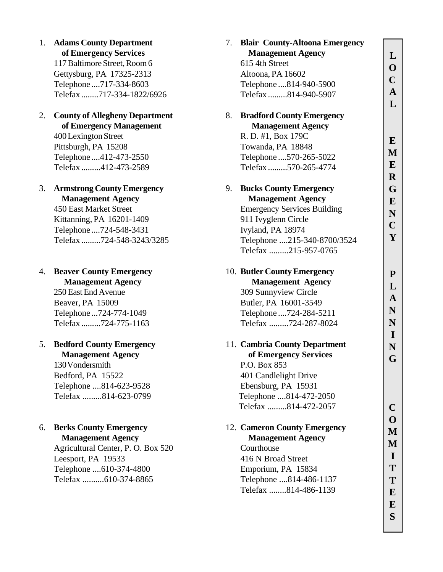1. **Adams County Department of Emergency Services** 117 Baltimore Street, Room 6 Gettysburg, PA 17325-2313 Telephone ....717-334-8603 Telefax ........717-334-1822/6926

#### 2. **County of Allegheny Department of Emergency Management** 400 Lexington Street Pittsburgh, PA 15208

Telephone ....412-473-2550 Telefax .........412-473-2589

- 3. **Armstrong County Emergency Management Agency** 450 East Market Street Kittanning, PA 16201-1409 Telephone ....724-548-3431 Telefax .........724-548-3243/3285
- 4. **Beaver County Emergency**

 **Management Agency** 250 East End Avenue Beaver, PA 15009 Telephone ...724-774-1049 Telefax .........724-775-1163

#### 5. **Bedford County Emergency Management Agency**

130 Vondersmith Bedford, PA 15522 Telephone ....814-623-9528 Telefax .........814-623-0799

# 6. **Berks County Emergency**

**Management Agency** Agricultural Center, P. O. Box 520 Leesport, PA 19533 Telephone ....610-374-4800 Telefax ..........610-374-8865

| 7. | <b>Blair County-Altoona Emergency</b> |                         |
|----|---------------------------------------|-------------------------|
|    | <b>Management Agency</b>              | L                       |
|    | 615 4th Street                        | $\mathbf{O}$            |
|    | Altoona, PA 16602                     | $\overline{\mathbf{C}}$ |
|    | Telephone  814-940-5900               |                         |
|    | Telefax814-940-5907                   | ${\bf A}$               |
|    |                                       | L                       |
| 8. | <b>Bradford County Emergency</b>      |                         |
|    | <b>Management Agency</b>              |                         |
|    | R. D. #1, Box 179C                    | E                       |
|    | Towanda, PA 18848                     | M                       |
|    | Telephone  570-265-5022               |                         |
|    | Telefax570-265-4774                   | E                       |
|    |                                       | $\bf R$                 |
| 9. | <b>Bucks County Emergency</b>         | G                       |
|    | <b>Management Agency</b>              | E                       |
|    | <b>Emergency Services Building</b>    | N                       |
|    | 911 Ivyglenn Circle                   | $\mathbf C$             |
|    | Ivyland, PA 18974                     | Y                       |
|    | Telephone 215-340-8700/3524           |                         |
|    | Telefax 215-957-0765                  |                         |
|    | 10. Butler County Emergency           | P                       |
|    | <b>Management Agency</b>              | L                       |
|    | 309 Sunnyview Circle                  |                         |
|    | Butler, PA 16001-3549                 | A                       |
|    | Telephone  724-284-5211               | N                       |
|    | Telefax 724-287-8024                  | N                       |
|    |                                       | I                       |
|    | 11. Cambria County Department         | N                       |
|    | of Emergency Services                 | G                       |
|    | P.O. Box 853                          |                         |
|    | 401 Candlelight Drive                 |                         |
|    | Ebensburg, PA 15931                   |                         |
|    | Telephone 814-472-2050                |                         |
|    | Telefax 814-472-2057                  |                         |
|    |                                       |                         |
|    | 12. Cameron County Emergency          |                         |
|    | <b>Management Agency</b>              | M                       |
|    | Courthouse                            | L                       |
|    | 416 N Broad Street                    |                         |
|    | Emporium, PA 15834                    | Т                       |
|    | Telephone 814-486-1137                | Т                       |
|    | Telefax 814-486-1139                  | E                       |
|    |                                       | E                       |
|    |                                       | S                       |
|    |                                       |                         |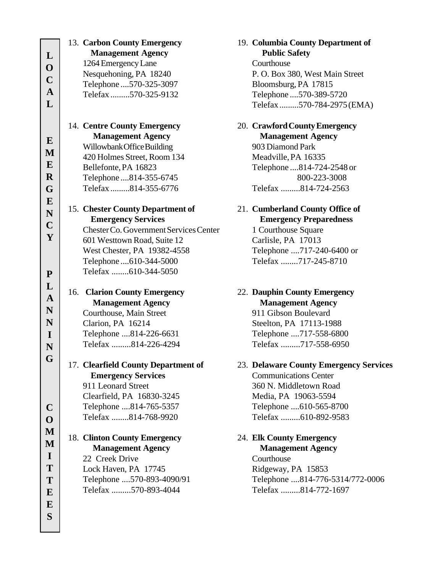|              | 13. Carbon County Emergency            | 19. Columbia County Department of      |
|--------------|----------------------------------------|----------------------------------------|
| L            | <b>Management Agency</b>               | <b>Public Safety</b>                   |
| $\mathbf 0$  | 1264 Emergency Lane                    | Courthouse                             |
|              | Nesquehoning, PA 18240                 | P. O. Box 380, West Main Street        |
| $\mathbf C$  | Telephone  570-325-3097                | Bloomsburg, PA 17815                   |
| $\mathbf{A}$ | Telefax 570-325-9132                   | Telephone  570-389-5720                |
| L            |                                        | Telefax570-784-2975 (EMA)              |
|              |                                        |                                        |
|              | 14. Centre County Emergency            | 20. Crawford County Emergency          |
|              | <b>Management Agency</b>               | <b>Management Agency</b>               |
| $\bf{E}$     | Willowbank Office Building             | 903 Diamond Park                       |
| M            | 420 Holmes Street, Room 134            | Meadville, PA 16335                    |
| $\bf{E}$     | Bellefonte, PA 16823                   | Telephone  814-724-2548 or             |
| $\mathbf R$  | Telephone  814-355-6745                | 800-223-3008                           |
|              | Telefax 814-355-6776                   | Telefax 814-724-2563                   |
| G            |                                        |                                        |
| E            | 15. Chester County Department of       | 21. Cumberland County Office of        |
| $\mathbf N$  | <b>Emergency Services</b>              | <b>Emergency Preparedness</b>          |
| $\mathbf C$  | Chester Co. Government Services Center |                                        |
| Y            |                                        | 1 Courthouse Square                    |
|              | 601 Westtown Road, Suite 12            | Carlisle, PA 17013                     |
|              | West Chester, PA 19382-4558            | Telephone 717-240-6400 or              |
|              | Telephone  610-344-5000                | Telefax 717-245-8710                   |
| ${\bf P}$    | Telefax 610-344-5050                   |                                        |
| L            |                                        |                                        |
|              |                                        | 22. Dauphin County Emergency           |
|              | 16. Clarion County Emergency           |                                        |
| $\mathbf{A}$ | <b>Management Agency</b>               | <b>Management Agency</b>               |
| N            | Courthouse, Main Street                | 911 Gibson Boulevard                   |
| N            | Clarion, PA 16214                      | Steelton, PA 17113-1988                |
| $\mathbf I$  | Telephone 814-226-6631                 | Telephone 717-558-6800                 |
| $\mathbf N$  | Telefax 814-226-4294                   | Telefax 717-558-6950                   |
| G            |                                        |                                        |
|              | 17. Clearfield County Department of    | 23. Delaware County Emergency Services |
|              | <b>Emergency Services</b>              | <b>Communications Center</b>           |
|              | 911 Leonard Street                     | 360 N. Middletown Road                 |
|              | Clearfield, PA 16830-3245              | Media, PA 19063-5594                   |
| $\mathbf C$  | Telephone 814-765-5357                 | Telephone 610-565-8700                 |
| $\mathbf 0$  | Telefax 814-768-9920                   | Telefax 610-892-9583                   |
| M            |                                        |                                        |
|              | 18. Clinton County Emergency           | 24. Elk County Emergency               |
| M            | <b>Management Agency</b>               | <b>Management Agency</b>               |
| $\bf{I}$     | 22 Creek Drive                         | Courthouse                             |
| T            | Lock Haven, PA 17745                   | Ridgeway, PA 15853                     |
| T            | Telephone 570-893-4090/91              | Telephone 814-776-5314/772-0006        |
| E            | Telefax 570-893-4044                   | Telefax 814-772-1697                   |
| E            |                                        |                                        |
|              |                                        |                                        |
| S            |                                        |                                        |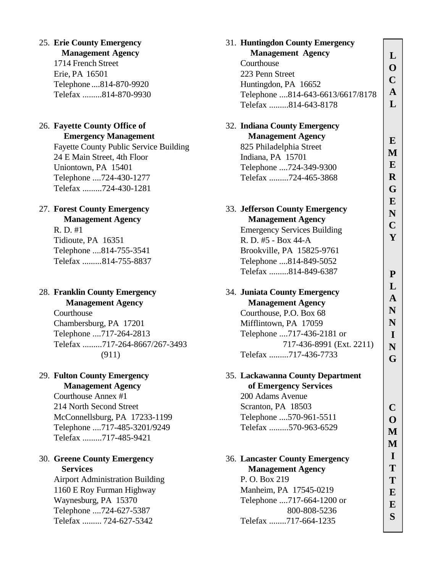#### 25. **Erie County Emergency**

#### **Management Agency**

1714 French Street Erie, PA 16501 Telephone ....814-870-9920 Telefax .........814-870-9930

#### 26. **Fayette County Office of Emergency Management**

Fayette County Public Service Building 24 E Main Street, 4th Floor Uniontown, PA 15401 Telephone ....724-430-1277 Telefax .........724-430-1281

#### 27. **Forest County Emergency Management Agency**

R. D. #1 Tidioute, PA 16351 Telephone ....814-755-3541 Telefax .........814-755-8837

#### 28. **Franklin County Emergency Management Agency**

Courthouse Chambersburg, PA 17201 Telephone ....717-264-2813 Telefax .........717-264-8667/267-3493 (911)

# 29. **Fulton County Emergency**

 **Management Agency** Courthouse Annex #1 214 North Second Street McConnellsburg, PA 17233-1199 Telephone ....717-485-3201/9249

Telefax .........717-485-9421

#### 30. **Greene County Emergency Services**

Airport Administration Building 1160 E Roy Furman Highway Waynesburg, PA 15370 Telephone ....724-627-5387 Telefax ......... 724-627-5342

| 31. Huntinguon County Emergency       |                         |
|---------------------------------------|-------------------------|
| <b>Management Agency</b>              | L                       |
| Courthouse                            | $\mathbf O$             |
| 223 Penn Street                       | $\overline{\mathbf{C}}$ |
| Huntingdon, PA 16652                  |                         |
| Telephone 814-643-6613/6617/8178      | $\mathbf{A}$            |
| Telefax 814-643-8178                  | L                       |
|                                       |                         |
| 32. Indiana County Emergency          |                         |
| <b>Management Agency</b>              | E                       |
| 825 Philadelphia Street               | M                       |
| Indiana, PA 15701                     | E                       |
| Telephone 724-349-9300                |                         |
| Telefax 724-465-3868                  | $\bf R$                 |
|                                       | G                       |
|                                       | E                       |
| 33. Jefferson County Emergency        | N                       |
| <b>Management Agency</b>              | $\mathbf C$             |
| <b>Emergency Services Building</b>    |                         |
| R. D. #5 - Box 44-A                   | Y                       |
| Brookville, PA 15825-9761             |                         |
| Telephone 814-849-5052                |                         |
| Telefax 814-849-6387                  | P                       |
|                                       | $\mathbf L$             |
| 34. Juniata County Emergency          | A                       |
| <b>Management Agency</b>              |                         |
| Courthouse, P.O. Box 68               | N                       |
| Mifflintown, PA 17059                 | N                       |
| Telephone 717-436-2181 or             | I                       |
| 717-436-8991 (Ext. 2211)              | N                       |
| Telefax 717-436-7733                  | G                       |
|                                       |                         |
| 35. Lackawanna County Department      |                         |
| of Emergency Services                 |                         |
| 200 Adams Avenue                      |                         |
| Scranton, PA 18503                    |                         |
| Telephone  570-961-5511               |                         |
| Telefax 570-963-6529                  |                         |
|                                       | M                       |
|                                       | I                       |
| <b>36. Lancaster County Emergency</b> | Т                       |
| <b>Management Agency</b>              |                         |
| P.O. Box 219                          | T                       |
| Manheim, PA 17545-0219                | E                       |
| Telephone 717-664-1200 or             | E                       |
| 800-808-5236                          | S                       |
| Telefax 717-664-1235                  |                         |

31. **Huntingdon County Emergency**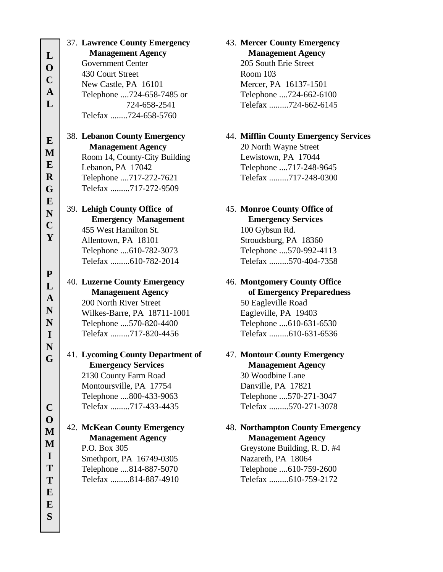|                          | 37. Lawrence County Emergency       | 43. Mercer           |
|--------------------------|-------------------------------------|----------------------|
| L                        | <b>Management Agency</b>            | Mana                 |
| $\mathbf 0$              | <b>Government Center</b>            | <b>205 Sou</b>       |
|                          | 430 Court Street                    | Room 1               |
| $\mathbf C$              | New Castle, PA 16101                | Mercer,              |
| $\overline{\mathbf{A}}$  | Telephone 724-658-7485 or           | Telepho              |
| L                        | 724-658-2541                        | Telefax              |
|                          | Telefax 724-658-5760                |                      |
| ${\bf E}$                | <b>38. Lebanon County Emergency</b> | 44. Mifflin          |
| M                        | <b>Management Agency</b>            | 20 Nortl             |
|                          | Room 14, County-City Building       | Lewisto              |
| $\bf{E}$                 | Lebanon, PA 17042                   | Telepho              |
| $\mathbf R$              | Telephone 717-272-7621              | Telefax              |
| G                        | Telefax 717-272-9509                |                      |
| ${\bf E}$<br>$\mathbf N$ | 39. Lehigh County Office of         | 45. Monroe           |
| $\mathbf C$              | <b>Emergency Management</b>         | <b>Emer</b>          |
|                          | 455 West Hamilton St.               | $100 \text{ Gyl}$    |
| Y                        | Allentown, PA 18101                 | Stroudsl             |
|                          | Telephone 610-782-3073              | Telepho              |
|                          | Telefax 610-782-2014                | Telefax              |
| ${\bf P}$<br>L           | 40. Luzerne County Emergency        | 46. Montgo           |
| $\mathbf A$              | <b>Management Agency</b>            | of En                |
|                          | 200 North River Street              | 50 Eagl              |
| N                        | Wilkes-Barre, PA 18711-1001         | Eaglevi <sup>®</sup> |
| N                        | Telephone 570-820-4400              | Telepho              |
| $\mathbf I$              | Telefax 717-820-4456                | Telefax              |
| $\mathbf N$<br>G         | 41. Lycoming County Department of   | 47. Montou           |
|                          | <b>Emergency Services</b>           | <b>Mana</b>          |
|                          | 2130 County Farm Road               | 30 Woo               |
|                          | Montoursville, PA 17754             | Danville             |
|                          | Telephone 800-433-9063              | Telepho              |
| $\mathbf C$              | Telefax 717-433-4435                | Telefax              |
| $\mathbf{O}$             |                                     |                      |
| $\mathbf{M}$             | 42. McKean County Emergency         | 48. Northai          |
| M                        | <b>Management Agency</b>            | <b>Mana</b>          |
| $\mathbf I$              | P.O. Box 305                        | Greysto              |
| T                        | Smethport, PA 16749-0305            | Nazaret              |
|                          | Telephone 814-887-5070              | Telepho              |
| T                        | Telefax 814-887-4910                | Telefax              |
| $\bf{E}$                 |                                     |                      |
| E                        |                                     |                      |
| S                        |                                     |                      |
|                          |                                     |                      |

#### **County Emergency Management Agency** th Erie Street  $03<sup>°</sup>$

PA 16137-1501 ne ....724-662-6100 .........724-662-6145

#### **County Emergency Services**

h Wayne Street wn, PA 17044 ne ....717-248-9645 ..........717-248-0300

# 45. **Monroe County Office of Example 12** Services

osun Rd. burg, PA 18360 ne ....570-992-4113 .........570-404-7358

- **Montgomery County Office of Emergency Preparedness** eville Road lle, PA 19403  $m$ e ....610-631-6530 .........610-631-6536
- 47. **Montour County Emergency Management Agency** dbine Lane e, PA 17821 ne ....570-271-3047 .........570-271-3078

#### **Impton County Emergency Management Agency** ne Building, R. D. #4

h, PA 18064 ne ....610-759-2600 Telefax .........610-759-2172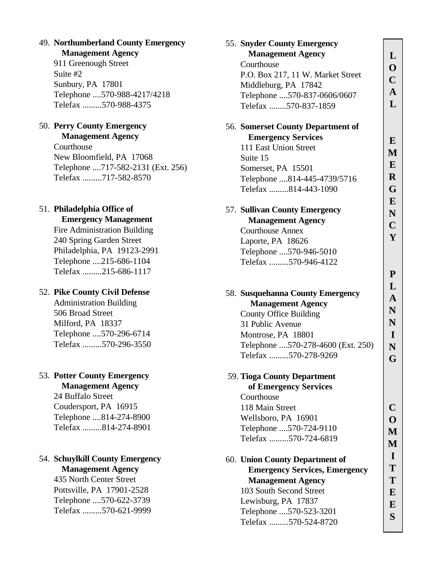#### 49. **Northumberland County Emergency Management Agency**

911 Greenough Street Suite #2 Sunbury, PA 17801 Telephone ....570-988-4217/4218 Telefax .........570-988-4375

#### 50. **Perry County Emergency Management Agency**

Courthouse New Bloomfield, PA 17068 Telephone ....717-582-2131 (Ext. 256) Telefax .........717-582-8570

# 51. **Philadelphia Office of**

### **Emergency Management**

Fire Administration Building 240 Spring Garden Street Philadelphia, PA 19123-2991 Telephone ....215-686-1104 Telefax .........215-686-1117

#### 52. **Pike County Civil Defense**

Administration Building 506 Broad Street Milford, PA 18337 Telephone ....570-296-6714 Telefax .........570-296-3550

# 53. **Potter County Emergency**

**Management Agency** 24 Buffalo Street Coudersport, PA 16915 Telephone ....814-274-8900 Telefax .........814-274-8901

#### 54. **Schuylkill County Emergency Management Agency**

435 North Center Street Pottsville, PA 17901-2528 Telephone ....570-622-3739 Telefax .........570-621-9999

| 55. Snyder County Emergency                               |                         |
|-----------------------------------------------------------|-------------------------|
| <b>Management Agency</b>                                  | L                       |
| Courthouse                                                | $\mathbf{O}$            |
| P.O. Box 217, 11 W. Market Street                         | $\overline{\mathbf{C}}$ |
| Middleburg, PA 17842                                      |                         |
| Telephone 570-837-0606/0607                               | ${\bf A}$               |
| Telefax 570-837-1859                                      | L                       |
| 56. Somerset County Department of                         |                         |
| <b>Emergency Services</b>                                 | E                       |
| 111 East Union Street                                     | M                       |
| Suite 15                                                  |                         |
| Somerset, PA 15501                                        | E                       |
| Telephone 814-445-4739/5716                               | $\bf R$                 |
| Telefax 814-443-1090                                      | G                       |
|                                                           | E                       |
| 57. Sullivan County Emergency                             | N                       |
| <b>Management Agency</b>                                  | $\mathbf C$             |
| <b>Courthouse Annex</b>                                   | Y                       |
| Laporte, PA 18626                                         |                         |
| Telephone 570-946-5010                                    |                         |
| Telefax 570-946-4122                                      |                         |
|                                                           | ${\bf P}$               |
|                                                           | L                       |
| 58. Susquehanna County Emergency                          | A                       |
| <b>Management Agency</b><br><b>County Office Building</b> | N                       |
| 31 Public Avenue                                          | N                       |
| Montrose, PA 18801                                        | I                       |
| Telephone 570-278-4600 (Ext. 250)                         | N                       |
| Telefax 570-278-9269                                      |                         |
|                                                           | G                       |
| 59. Tioga County Department                               |                         |
| of Emergency Services<br>Courthouse                       |                         |
| 118 Main Street                                           |                         |
| Wellsboro, PA 16901                                       |                         |
| Telephone  570-724-9110                                   |                         |
| Telefax 570-724-6819                                      |                         |
|                                                           | M<br>н.                 |
| 60. Union County Department of                            |                         |
| <b>Emergency Services, Emergency</b>                      | Т                       |
| <b>Management Agency</b>                                  | T                       |
| 103 South Second Street                                   | E                       |
| Lewisburg, PA 17837                                       | E                       |
| Telephone 570-523-3201                                    | S                       |
| Telefax 570-524-8720                                      |                         |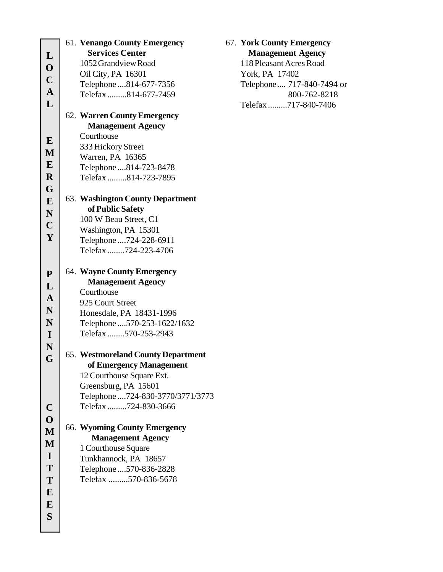|                         | 61. Venango County Emergency              |
|-------------------------|-------------------------------------------|
|                         | <b>Services Center</b>                    |
| L                       | 1052 Grandview Road                       |
| $\mathbf 0$             | Oil City, PA 16301                        |
| $\overline{C}$          |                                           |
| $\overline{\mathbf{A}}$ | Telephone  814-677-7356                   |
| L                       | Telefax814-677-7459                       |
|                         |                                           |
|                         | 62. Warren County Emergency               |
|                         | <b>Management Agency</b>                  |
| E                       | Courthouse                                |
| M                       | 333 Hickory Street                        |
| E                       | Warren, PA 16365                          |
|                         | Telephone  814-723-8478                   |
| $\mathbf R$             | Telefax814-723-7895                       |
| G                       |                                           |
| E                       | 63. Washington County Department          |
| $\mathbf N$             | of Public Safety                          |
| $\mathbf C$             | 100 W Beau Street, C1                     |
|                         | Washington, PA 15301                      |
| Y                       | Telephone  724-228-6911                   |
|                         | Telefax724-223-4706                       |
| ${\bf P}$               | 64. Wayne County Emergency                |
| L                       | <b>Management Agency</b>                  |
|                         | Courthouse                                |
| $\mathbf{A}$            | 925 Court Street                          |
| N                       | Honesdale, PA 18431-1996                  |
| N                       | Telephone  570-253-1622/1632              |
| $\mathbf I$             | Telefax 570-253-2943                      |
| N                       |                                           |
|                         | <b>65. Westmoreland County Department</b> |
| G                       | of Emergency Management                   |
|                         | 12 Courthouse Square Ext.                 |
|                         | Greensburg, PA 15601                      |
|                         | Telephone  724-830-3770/3771/3773         |
| $\mathbf C$             | Telefax724-830-3666                       |
| $\overline{\mathbf{O}}$ |                                           |
|                         | 66. Wyoming County Emergency              |
| M                       | <b>Management Agency</b>                  |
| M                       | 1 Courthouse Square                       |
| I                       | Tunkhannock, PA 18657                     |
| T                       | Telephone  570-836-2828                   |
| T                       | Telefax 570-836-5678                      |
| E                       |                                           |
|                         |                                           |
| E                       |                                           |
| S                       |                                           |

#### 67. **York County Emergency Management Agency**

118 Pleasant Acres Road York, PA 17402 Telephone .... 717-840-7494 or 800-762-8218 Telefax .........717-840-7406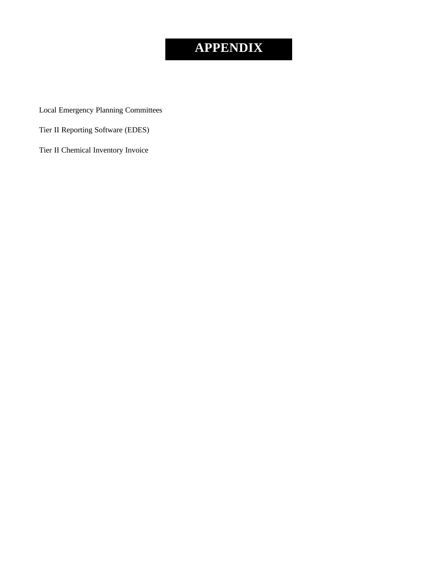# **APPENDIX**

Local Emergency Planning Committees

Tier II Reporting Software (EDES)

Tier II Chemical Inventory Invoice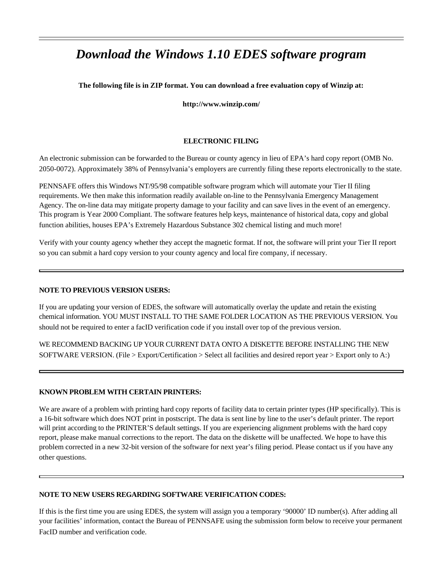# *Download the Windows 1.10 EDES software program*

#### **The following file is in ZIP format. You can download a free evaluation copy of Winzip at:**

**http://www.winzip.com/**

#### **ELECTRONIC FILING**

An electronic submission can be forwarded to the Bureau or county agency in lieu of EPA's hard copy report (OMB No. 2050-0072). Approximately 38% of Pennsylvania's employers are currently filing these reports electronically to the state.

PENNSAFE offers this Windows NT/95/98 compatible software program which will automate your Tier II filing requirements. We then make this information readily available on-line to the Pennsylvania Emergency Management Agency. The on-line data may mitigate property damage to your facility and can save lives in the event of an emergency. This program is Year 2000 Compliant. The software features help keys, maintenance of historical data, copy and global function abilities, houses EPA's Extremely Hazardous Substance 302 chemical listing and much more!

Verify with your county agency whether they accept the magnetic format. If not, the software will print your Tier II report so you can submit a hard copy version to your county agency and local fire company, if necessary.

#### **NOTE TO PREVIOUS VERSION USERS:**

If you are updating your version of EDES, the software will automatically overlay the update and retain the existing chemical information. YOU MUST INSTALL TO THE SAME FOLDER LOCATION AS THE PREVIOUS VERSION. You should not be required to enter a facID verification code if you install over top of the previous version.

WE RECOMMEND BACKING UP YOUR CURRENT DATA ONTO A DISKETTE BEFORE INSTALLING THE NEW SOFTWARE VERSION. (File > Export/Certification > Select all facilities and desired report year > Export only to A:)

#### **KNOWN PROBLEM WITH CERTAIN PRINTERS:**

We are aware of a problem with printing hard copy reports of facility data to certain printer types (HP specifically). This is a 16-bit software which does NOT print in postscript. The data is sent line by line to the user's default printer. The report will print according to the PRINTER'S default settings. If you are experiencing alignment problems with the hard copy report, please make manual corrections to the report. The data on the diskette will be unaffected. We hope to have this problem corrected in a new 32-bit version of the software for next year's filing period. Please contact us if you have any other questions.

#### **NOTE TO NEW USERS REGARDING SOFTWARE VERIFICATION CODES:**

If this is the first time you are using EDES, the system will assign you a temporary '90000' ID number(s). After adding all your facilities' information, contact the Bureau of PENNSAFE using the submission form below to receive your permanent FacID number and verification code.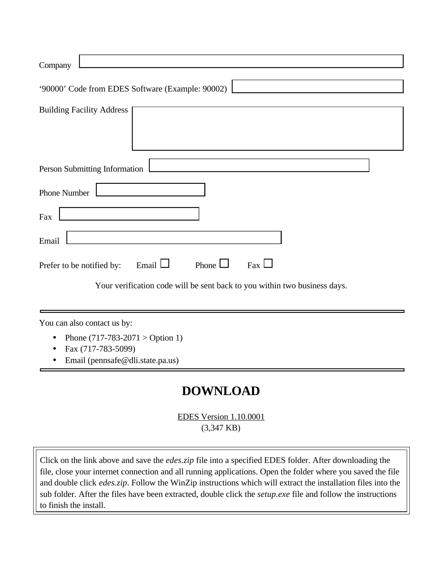| Company                                                                   |
|---------------------------------------------------------------------------|
| '90000' Code from EDES Software (Example: 90002)                          |
|                                                                           |
| <b>Building Facility Address</b>                                          |
| Person Submitting Information                                             |
| <b>Phone Number</b>                                                       |
| Fax                                                                       |
| Email                                                                     |
| Phone $\Box$<br>Email $\Box$<br>$\text{Fax}$<br>Prefer to be notified by: |
| Your verification code will be sent back to you within two business days. |
| You can also contact us by:                                               |
| Phone $(717-783-2071)$ > Option 1)<br>$\bullet$                           |
| Fax (717-783-5099)<br>Email (pennsafe@dli.state.pa.us)                    |
| $-$                                                                       |

# **DOWNLOAD**

EDES Version 1.10.0001 (3,347 KB)

Click on the link above and save the *edes.zip* file into a specified EDES folder. After downloading the file, close your internet connection and all running applications. Open the folder where you saved the file and double click *edes.zip*. Follow the WinZip instructions which will extract the installation files into the sub folder. After the files have been extracted, double click the *setup.exe* file and follow the instructions to finish the install.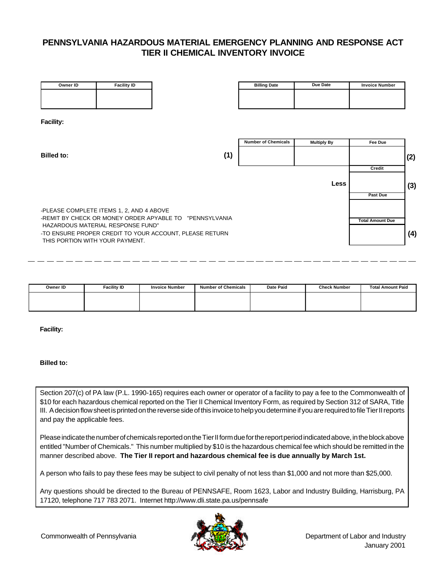#### **PENNSYLVANIA HAZARDOUS MATERIAL EMERGENCY PLANNING AND RESPONSE ACT TIER II CHEMICAL INVENTORY INVOICE**

| Owner ID                        | <b>Facility ID</b>                       |                                                         | <b>Billing Date</b>        | Due Date           | <b>Invoice Number</b>   |     |
|---------------------------------|------------------------------------------|---------------------------------------------------------|----------------------------|--------------------|-------------------------|-----|
|                                 |                                          |                                                         |                            |                    |                         |     |
|                                 |                                          |                                                         |                            |                    |                         |     |
| <b>Facility:</b>                |                                          |                                                         |                            |                    |                         |     |
|                                 |                                          |                                                         |                            |                    |                         |     |
|                                 |                                          |                                                         | <b>Number of Chemicals</b> | <b>Multiply By</b> | Fee Due                 |     |
| <b>Billed to:</b>               |                                          | (1)                                                     |                            |                    |                         | (2) |
|                                 |                                          |                                                         |                            |                    | Credit                  |     |
|                                 |                                          |                                                         |                            | <b>Less</b>        |                         | (3) |
|                                 |                                          |                                                         |                            |                    | Past Due                |     |
|                                 | -PLEASE COMPLETE ITEMS 1, 2, AND 4 ABOVE |                                                         |                            |                    |                         |     |
|                                 | HAZARDOUS MATERIAL RESPONSE FUND"        | -REMIT BY CHECK OR MONEY ORDER APYABLE TO "PENNSYLVANIA |                            |                    | <b>Total Amount Due</b> |     |
| THIS PORTION WITH YOUR PAYMENT. |                                          | -TO ENSURE PROPER CREDIT TO YOUR ACCOUNT, PLEASE RETURN |                            |                    |                         | (4) |
|                                 |                                          |                                                         |                            |                    |                         |     |

| Owner ID | <b>Facility ID</b> | <b>Invoice Number</b> | <b>Number of Chemicals</b> | Date Paid | <b>Check Number</b> | <b>Total Amount Paid</b> |
|----------|--------------------|-----------------------|----------------------------|-----------|---------------------|--------------------------|
|          |                    |                       |                            |           |                     |                          |
|          |                    |                       |                            |           |                     |                          |

**Facility:**

#### **Billed to:**

Section 207(c) of PA law (P.L. 1990-165) requires each owner or operator of a facility to pay a fee to the Commonwealth of \$10 for each hazardous chemical reported on the Tier II Chemical Inventory Form, as required by Section 312 of SARA, Title III. A decision flow sheet is printed on the reverse side of this invoice to help you determine if you are required to file Tier II reports and pay the applicable fees.

Please indicate the number of chemicals reported on the Tier II form due for the report period indicated above, in the block above entitled "Number of Chemicals." This number multiplied by \$10 is the hazardous chemical fee which should be remitted in the manner described above. **The Tier II report and hazardous chemical fee is due annually by March 1st.**

A person who fails to pay these fees may be subject to civil penalty of not less than \$1,000 and not more than \$25,000.

Any questions should be directed to the Bureau of PENNSAFE, Room 1623, Labor and Industry Building, Harrisburg, PA 17120, telephone 717 783 2071. Internet http://www.dli.state.pa.us/pennsafe

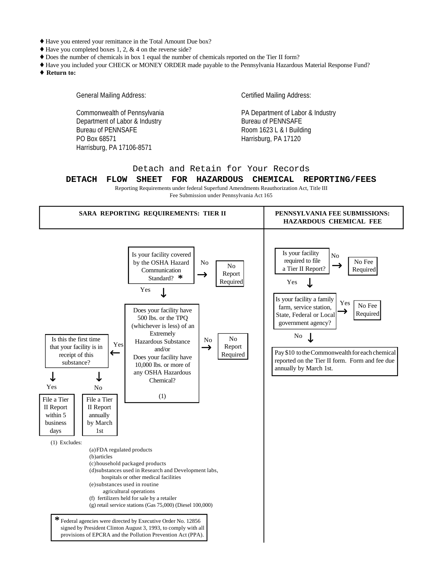- ♦ Have you entered your remittance in the Total Amount Due box?
- $\triangle$  Have you completed boxes 1, 2, & 4 on the reverse side?
- ♦ Does the number of chemicals in box 1 equal the number of chemicals reported on the Tier II form?
- ♦ Have you included your CHECK or MONEY ORDER made payable to the Pennsylvania Hazardous Material Response Fund? **¨ Return to:**

General Mailing Address: Commonwealth of Pennsylvania Department of Labor & Industry Bureau of PENNSAFE PO Box 68571 Harrisburg, PA 17106-8571 Certified Mailing Address: PA Department of Labor & Industry Bureau of PENNSAFE Room 1623 L & I Building Harrisburg, PA 17120

#### Detach and Retain for Your Records

#### **DETACH FLOW SHEET FOR HAZARDOUS CHEMICAL REPORTING/FEES**

Reporting Requirements under federal Superfund Amendments Reauthorization Act, Title III

Fee Submission under Pennsylvania Act 165